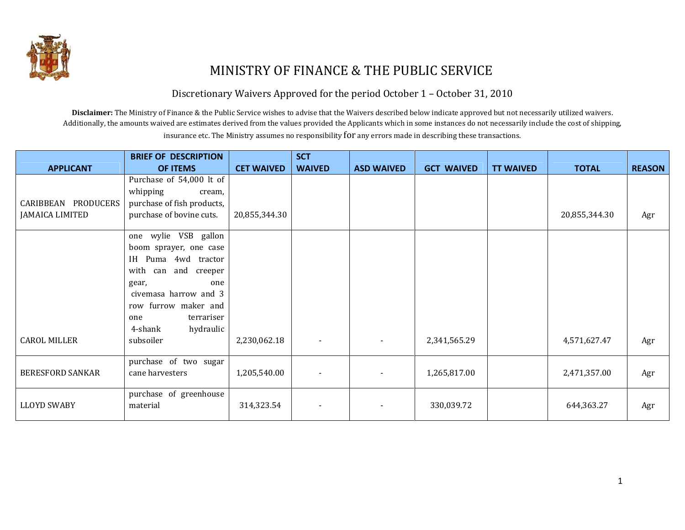

# MINISTRY OF FINANCE & THE PUBLIC SERVICE

Discretionary Waivers Approved for the period October 1 – October 31, 2010

Disclaimer: The Ministry of Finance & the Public Service wishes to advise that the Waivers described below indicate approved but not necessarily utilized waivers. Additionally, the amounts waived are estimates derived from the values provided the Applicants which in some instances do not necessarily include the cost of shipping, insurance etc. The Ministry assumes no responsibility for any errors made in describing these transactions.

|                         | <b>BRIEF OF DESCRIPTION</b> |                   | <b>SCT</b>    |                   |                   |                  |               |               |
|-------------------------|-----------------------------|-------------------|---------------|-------------------|-------------------|------------------|---------------|---------------|
| <b>APPLICANT</b>        | OF ITEMS                    | <b>CET WAIVED</b> | <b>WAIVED</b> | <b>ASD WAIVED</b> | <b>GCT WAIVED</b> | <b>TT WAIVED</b> | <b>TOTAL</b>  | <b>REASON</b> |
|                         | Purchase of 54,000 lt of    |                   |               |                   |                   |                  |               |               |
|                         | whipping<br>cream,          |                   |               |                   |                   |                  |               |               |
| CARIBBEAN PRODUCERS     | purchase of fish products,  |                   |               |                   |                   |                  |               |               |
| <b>JAMAICA LIMITED</b>  | purchase of bovine cuts.    | 20,855,344.30     |               |                   |                   |                  | 20,855,344.30 | Agr           |
|                         |                             |                   |               |                   |                   |                  |               |               |
|                         | one wylie VSB gallon        |                   |               |                   |                   |                  |               |               |
|                         | boom sprayer, one case      |                   |               |                   |                   |                  |               |               |
|                         | Puma 4wd tractor<br>IH.     |                   |               |                   |                   |                  |               |               |
|                         | with can and creeper        |                   |               |                   |                   |                  |               |               |
|                         | gear,<br>one                |                   |               |                   |                   |                  |               |               |
|                         | civemasa harrow and 3       |                   |               |                   |                   |                  |               |               |
|                         | row furrow maker and        |                   |               |                   |                   |                  |               |               |
|                         | terrariser<br>one           |                   |               |                   |                   |                  |               |               |
|                         | hydraulic<br>4-shank        |                   |               |                   |                   |                  |               |               |
| <b>CAROL MILLER</b>     | subsoiler                   | 2,230,062.18      |               |                   | 2,341,565.29      |                  | 4,571,627.47  | Agr           |
|                         |                             |                   |               |                   |                   |                  |               |               |
|                         | purchase of two sugar       |                   |               |                   |                   |                  |               |               |
| <b>BERESFORD SANKAR</b> | cane harvesters             | 1,205,540.00      |               |                   | 1,265,817.00      |                  | 2,471,357.00  | Agr           |
|                         |                             |                   |               |                   |                   |                  |               |               |
|                         | purchase of greenhouse      |                   |               |                   |                   |                  |               |               |
| <b>LLOYD SWABY</b>      | material                    | 314,323.54        |               |                   | 330,039.72        |                  | 644,363.27    | Agr           |
|                         |                             |                   |               |                   |                   |                  |               |               |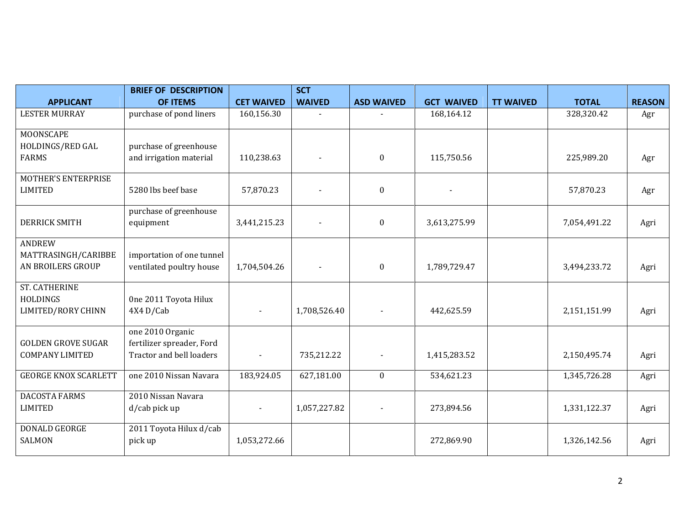|                             | <b>BRIEF OF DESCRIPTION</b> |                   | <b>SCT</b>    |                   |                   |                  |              |               |
|-----------------------------|-----------------------------|-------------------|---------------|-------------------|-------------------|------------------|--------------|---------------|
| <b>APPLICANT</b>            | <b>OF ITEMS</b>             | <b>CET WAIVED</b> | <b>WAIVED</b> | <b>ASD WAIVED</b> | <b>GCT WAIVED</b> | <b>TT WAIVED</b> | <b>TOTAL</b> | <b>REASON</b> |
| <b>LESTER MURRAY</b>        | purchase of pond liners     | 160,156.30        |               |                   | 168,164.12        |                  | 328,320.42   | Agr           |
| <b>MOONSCAPE</b>            |                             |                   |               |                   |                   |                  |              |               |
| HOLDINGS/RED GAL            | purchase of greenhouse      |                   |               |                   |                   |                  |              |               |
| <b>FARMS</b>                | and irrigation material     | 110,238.63        |               | $\bf{0}$          | 115,750.56        |                  | 225,989.20   | Agr           |
| <b>MOTHER'S ENTERPRISE</b>  |                             |                   |               |                   |                   |                  |              |               |
| <b>LIMITED</b>              | 5280 lbs beef base          | 57,870.23         |               | $\mathbf{0}$      |                   |                  | 57,870.23    | Agr           |
|                             | purchase of greenhouse      |                   |               |                   |                   |                  |              |               |
| <b>DERRICK SMITH</b>        | equipment                   | 3,441,215.23      |               | $\mathbf{0}$      | 3,613,275.99      |                  | 7,054,491.22 | Agri          |
| <b>ANDREW</b>               |                             |                   |               |                   |                   |                  |              |               |
| MATTRASINGH/CARIBBE         | importation of one tunnel   |                   |               |                   |                   |                  |              |               |
| AN BROILERS GROUP           | ventilated poultry house    | 1,704,504.26      |               | $\boldsymbol{0}$  | 1,789,729.47      |                  | 3,494,233.72 | Agri          |
| <b>ST. CATHERINE</b>        |                             |                   |               |                   |                   |                  |              |               |
| HOLDINGS                    | One 2011 Toyota Hilux       |                   |               |                   |                   |                  |              |               |
| <b>LIMITED/RORY CHINN</b>   | 4X4 D/Cab                   |                   | 1,708,526.40  |                   | 442,625.59        |                  | 2,151,151.99 | Agri          |
|                             | one 2010 Organic            |                   |               |                   |                   |                  |              |               |
| <b>GOLDEN GROVE SUGAR</b>   | fertilizer spreader, Ford   |                   |               |                   |                   |                  |              |               |
| <b>COMPANY LIMITED</b>      | Tractor and bell loaders    |                   | 735,212.22    |                   | 1,415,283.52      |                  | 2,150,495.74 | Agri          |
| <b>GEORGE KNOX SCARLETT</b> | one 2010 Nissan Navara      | 183,924.05        | 627,181.00    | $\mathbf{0}$      | 534,621.23        |                  | 1,345,726.28 | Agri          |
| <b>DACOSTA FARMS</b>        | 2010 Nissan Navara          |                   |               |                   |                   |                  |              |               |
| <b>LIMITED</b>              | d/cab pick up               |                   | 1,057,227.82  |                   | 273,894.56        |                  | 1,331,122.37 | Agri          |
| <b>DONALD GEORGE</b>        | 2011 Toyota Hilux d/cab     |                   |               |                   |                   |                  |              |               |
| <b>SALMON</b>               | pick up                     | 1,053,272.66      |               |                   | 272,869.90        |                  | 1,326,142.56 | Agri          |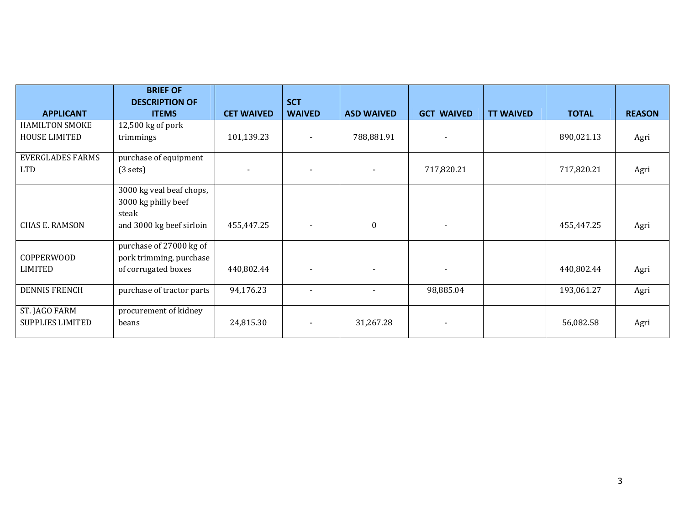|                                               | <b>BRIEF OF</b><br><b>DESCRIPTION OF</b>                                             |                          | <b>SCT</b>    |                   |                          |                  |              |               |
|-----------------------------------------------|--------------------------------------------------------------------------------------|--------------------------|---------------|-------------------|--------------------------|------------------|--------------|---------------|
| <b>APPLICANT</b>                              | <b>ITEMS</b>                                                                         | <b>CET WAIVED</b>        | <b>WAIVED</b> | <b>ASD WAIVED</b> | <b>GCT WAIVED</b>        | <b>TT WAIVED</b> | <b>TOTAL</b> | <b>REASON</b> |
| <b>HAMILTON SMOKE</b><br><b>HOUSE LIMITED</b> | $12,500$ kg of pork<br>trimmings                                                     | 101,139.23               |               | 788,881.91        |                          |                  | 890,021.13   | Agri          |
| <b>EVERGLADES FARMS</b><br><b>LTD</b>         | purchase of equipment<br>(3 sets)                                                    | $\overline{\phantom{a}}$ |               |                   | 717,820.21               |                  | 717,820.21   | Agri          |
| <b>CHAS E. RAMSON</b>                         | 3000 kg veal beaf chops,<br>3000 kg philly beef<br>steak<br>and 3000 kg beef sirloin | 455,447.25               |               | $\boldsymbol{0}$  |                          |                  | 455,447.25   | Agri          |
| COPPERWOOD<br>LIMITED                         | purchase of 27000 kg of<br>pork trimming, purchase<br>of corrugated boxes            | 440,802.44               |               |                   |                          |                  | 440,802.44   | Agri          |
| <b>DENNIS FRENCH</b>                          | purchase of tractor parts                                                            | 94,176.23                |               |                   | 98,885.04                |                  | 193,061.27   | Agri          |
| ST. JAGO FARM<br><b>SUPPLIES LIMITED</b>      | procurement of kidney<br>beans                                                       | 24,815.30                |               | 31,267.28         | $\overline{\phantom{a}}$ |                  | 56,082.58    | Agri          |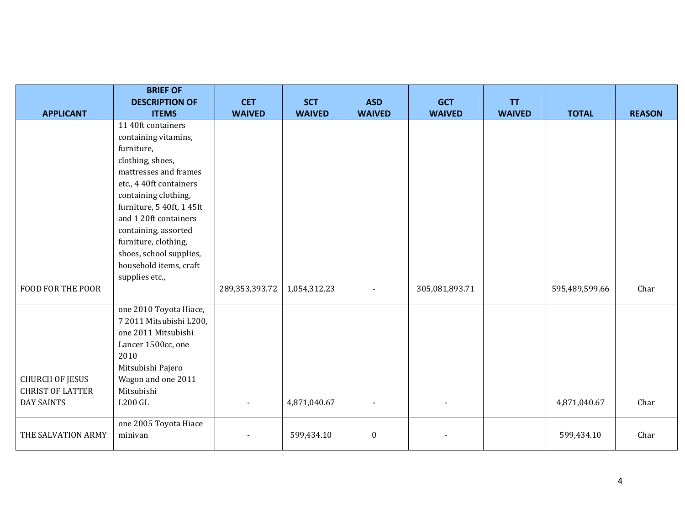|                                                   | <b>BRIEF OF</b><br><b>DESCRIPTION OF</b>                                                                                                                                                                                              | <b>CET</b>     | <b>SCT</b>    | <b>ASD</b>       | <b>GCT</b>     | <b>TT</b>     |                |               |
|---------------------------------------------------|---------------------------------------------------------------------------------------------------------------------------------------------------------------------------------------------------------------------------------------|----------------|---------------|------------------|----------------|---------------|----------------|---------------|
| <b>APPLICANT</b>                                  | <b>ITEMS</b>                                                                                                                                                                                                                          | <b>WAIVED</b>  | <b>WAIVED</b> | <b>WAIVED</b>    | <b>WAIVED</b>  | <b>WAIVED</b> | <b>TOTAL</b>   | <b>REASON</b> |
|                                                   | 11 40ft containers<br>containing vitamins,<br>furniture,<br>clothing, shoes,<br>mattresses and frames<br>etc., 4 40ft containers<br>containing clothing,<br>furniture, 5 40ft, 1 45ft<br>and 120ft containers<br>containing, assorted |                |               |                  |                |               |                |               |
|                                                   | furniture, clothing,<br>shoes, school supplies,<br>household items, craft<br>supplies etc.,                                                                                                                                           |                |               |                  |                |               |                |               |
| <b>FOOD FOR THE POOR</b>                          |                                                                                                                                                                                                                                       | 289,353,393.72 | 1,054,312.23  | $\blacksquare$   | 305,081,893.71 |               | 595,489,599.66 | Char          |
| <b>CHURCH OF JESUS</b><br><b>CHRIST OF LATTER</b> | one 2010 Toyota Hiace,<br>7 2011 Mitsubishi L200,<br>one 2011 Mitsubishi<br>Lancer 1500cc, one<br>2010<br>Mitsubishi Pajero<br>Wagon and one 2011<br>Mitsubishi                                                                       |                |               |                  |                |               |                |               |
| <b>DAY SAINTS</b>                                 | <b>L200 GL</b>                                                                                                                                                                                                                        |                | 4,871,040.67  |                  |                |               | 4,871,040.67   | Char          |
| THE SALVATION ARMY                                | one 2005 Toyota Hiace<br>minivan                                                                                                                                                                                                      |                | 599,434.10    | $\boldsymbol{0}$ |                |               | 599,434.10     | Char          |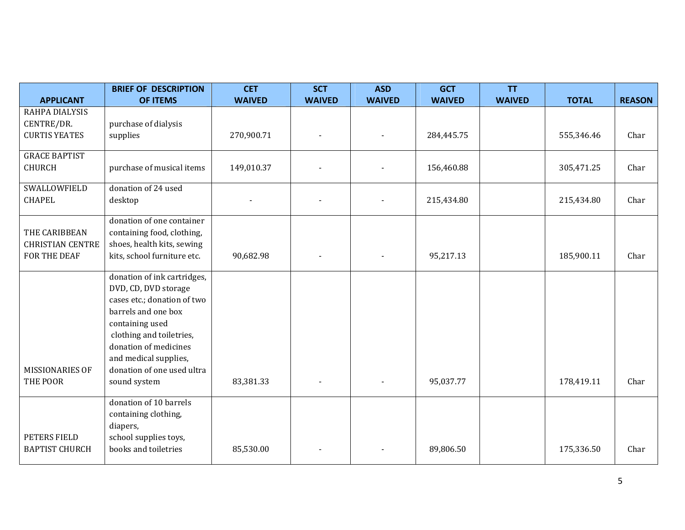|                         | <b>BRIEF OF DESCRIPTION</b>                         | <b>CET</b>    | <b>SCT</b>    | <b>ASD</b>    | <b>GCT</b>    | <b>TT</b>     |              |               |
|-------------------------|-----------------------------------------------------|---------------|---------------|---------------|---------------|---------------|--------------|---------------|
| <b>APPLICANT</b>        | <b>OF ITEMS</b>                                     | <b>WAIVED</b> | <b>WAIVED</b> | <b>WAIVED</b> | <b>WAIVED</b> | <b>WAIVED</b> | <b>TOTAL</b> | <b>REASON</b> |
| RAHPA DIALYSIS          |                                                     |               |               |               |               |               |              |               |
| CENTRE/DR.              | purchase of dialysis                                |               |               |               |               |               |              |               |
| <b>CURTIS YEATES</b>    | supplies                                            | 270,900.71    |               |               | 284,445.75    |               | 555,346.46   | Char          |
| <b>GRACE BAPTIST</b>    |                                                     |               |               |               |               |               |              |               |
| <b>CHURCH</b>           | purchase of musical items                           | 149,010.37    |               |               | 156,460.88    |               | 305,471.25   | Char          |
| SWALLOWFIELD            | donation of 24 used                                 |               |               |               |               |               |              |               |
| <b>CHAPEL</b>           | desktop                                             |               |               |               | 215,434.80    |               | 215,434.80   | Char          |
|                         | donation of one container                           |               |               |               |               |               |              |               |
| THE CARIBBEAN           | containing food, clothing,                          |               |               |               |               |               |              |               |
| <b>CHRISTIAN CENTRE</b> | shoes, health kits, sewing                          |               |               |               |               |               |              |               |
| FOR THE DEAF            | kits, school furniture etc.                         | 90,682.98     |               |               | 95,217.13     |               | 185,900.11   | Char          |
|                         | donation of ink cartridges,                         |               |               |               |               |               |              |               |
|                         | DVD, CD, DVD storage                                |               |               |               |               |               |              |               |
|                         | cases etc.; donation of two                         |               |               |               |               |               |              |               |
|                         | barrels and one box                                 |               |               |               |               |               |              |               |
|                         | containing used                                     |               |               |               |               |               |              |               |
|                         | clothing and toiletries,                            |               |               |               |               |               |              |               |
|                         | donation of medicines                               |               |               |               |               |               |              |               |
| MISSIONARIES OF         | and medical supplies,<br>donation of one used ultra |               |               |               |               |               |              |               |
| THE POOR                | sound system                                        | 83,381.33     |               |               | 95,037.77     |               | 178,419.11   | Char          |
|                         |                                                     |               |               |               |               |               |              |               |
|                         | donation of 10 barrels                              |               |               |               |               |               |              |               |
|                         | containing clothing,                                |               |               |               |               |               |              |               |
|                         | diapers,                                            |               |               |               |               |               |              |               |
| PETERS FIELD            | school supplies toys,                               |               |               |               |               |               |              |               |
| <b>BAPTIST CHURCH</b>   | books and toiletries                                | 85,530.00     |               |               | 89,806.50     |               | 175,336.50   | Char          |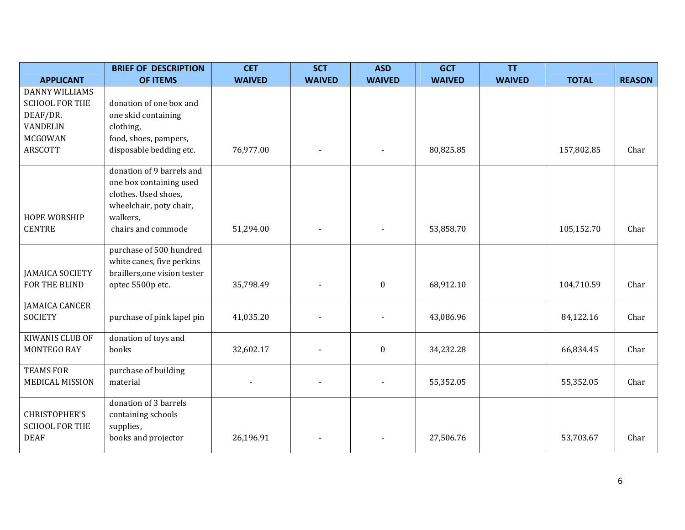|                                      | <b>BRIEF OF DESCRIPTION</b>      | <b>CET</b>    | <b>SCT</b>     | <b>ASD</b>       | <b>GCT</b>    | <b>TT</b>     |              |               |
|--------------------------------------|----------------------------------|---------------|----------------|------------------|---------------|---------------|--------------|---------------|
| <b>APPLICANT</b>                     | <b>OF ITEMS</b>                  | <b>WAIVED</b> | <b>WAIVED</b>  | <b>WAIVED</b>    | <b>WAIVED</b> | <b>WAIVED</b> | <b>TOTAL</b> | <b>REASON</b> |
| <b>DANNY WILLIAMS</b>                |                                  |               |                |                  |               |               |              |               |
| <b>SCHOOL FOR THE</b>                | donation of one box and          |               |                |                  |               |               |              |               |
| DEAF/DR.                             | one skid containing              |               |                |                  |               |               |              |               |
| VANDELIN                             | clothing,                        |               |                |                  |               |               |              |               |
| <b>MCGOWAN</b>                       | food, shoes, pampers,            |               |                |                  |               |               |              |               |
| <b>ARSCOTT</b>                       | disposable bedding etc.          | 76,977.00     |                |                  | 80,825.85     |               | 157,802.85   | Char          |
|                                      | donation of 9 barrels and        |               |                |                  |               |               |              |               |
|                                      | one box containing used          |               |                |                  |               |               |              |               |
|                                      | clothes. Used shoes,             |               |                |                  |               |               |              |               |
|                                      | wheelchair, poty chair,          |               |                |                  |               |               |              |               |
| <b>HOPE WORSHIP</b><br><b>CENTRE</b> | walkers,<br>chairs and commode   | 51,294.00     |                |                  | 53,858.70     |               | 105,152.70   | Char          |
|                                      |                                  |               |                |                  |               |               |              |               |
|                                      | purchase of 500 hundred          |               |                |                  |               |               |              |               |
|                                      | white canes, five perkins        |               |                |                  |               |               |              |               |
| <b>JAMAICA SOCIETY</b>               | braillers, one vision tester     |               |                |                  |               |               |              |               |
| FOR THE BLIND                        | optec 5500p etc.                 | 35,798.49     |                | $\boldsymbol{0}$ | 68,912.10     |               | 104,710.59   | Char          |
| <b>JAMAICA CANCER</b>                |                                  |               |                |                  |               |               |              |               |
| <b>SOCIETY</b>                       | purchase of pink lapel pin       | 41,035.20     |                |                  | 43,086.96     |               | 84,122.16    | Char          |
| <b>KIWANIS CLUB OF</b>               | donation of toys and             |               |                |                  |               |               |              |               |
| MONTEGO BAY                          | books                            | 32,602.17     |                | $\boldsymbol{0}$ | 34,232.28     |               | 66,834.45    | Char          |
| <b>TEAMS FOR</b>                     | purchase of building             |               |                |                  |               |               |              |               |
| <b>MEDICAL MISSION</b>               | material                         |               | $\overline{a}$ |                  | 55,352.05     |               | 55,352.05    | Char          |
|                                      |                                  |               |                |                  |               |               |              |               |
|                                      | donation of 3 barrels            |               |                |                  |               |               |              |               |
| <b>CHRISTOPHER'S</b>                 | containing schools               |               |                |                  |               |               |              |               |
| <b>SCHOOL FOR THE</b><br><b>DEAF</b> | supplies,<br>books and projector | 26,196.91     |                |                  | 27,506.76     |               | 53,703.67    | Char          |
|                                      |                                  |               |                |                  |               |               |              |               |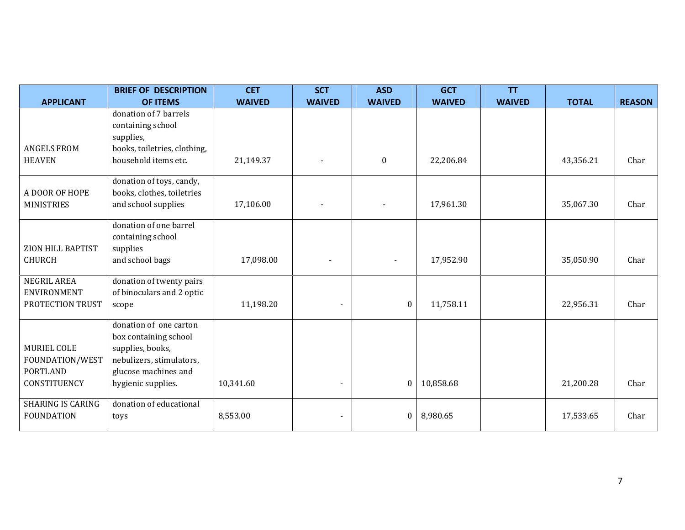|                          | <b>BRIEF OF DESCRIPTION</b>  | <b>CET</b>    | <b>SCT</b>               | <b>ASD</b>       | <b>GCT</b>    | <b>TT</b>     |              |               |
|--------------------------|------------------------------|---------------|--------------------------|------------------|---------------|---------------|--------------|---------------|
| <b>APPLICANT</b>         | <b>OF ITEMS</b>              | <b>WAIVED</b> | <b>WAIVED</b>            | <b>WAIVED</b>    | <b>WAIVED</b> | <b>WAIVED</b> | <b>TOTAL</b> | <b>REASON</b> |
|                          | donation of 7 barrels        |               |                          |                  |               |               |              |               |
|                          | containing school            |               |                          |                  |               |               |              |               |
|                          | supplies,                    |               |                          |                  |               |               |              |               |
| <b>ANGELS FROM</b>       | books, toiletries, clothing, |               |                          |                  |               |               |              |               |
| <b>HEAVEN</b>            | household items etc.         | 21,149.37     |                          | $\boldsymbol{0}$ | 22,206.84     |               | 43,356.21    | Char          |
|                          | donation of toys, candy,     |               |                          |                  |               |               |              |               |
| A DOOR OF HOPE           | books, clothes, toiletries   |               |                          |                  |               |               |              |               |
| <b>MINISTRIES</b>        | and school supplies          | 17,106.00     |                          |                  | 17,961.30     |               | 35,067.30    | Char          |
|                          | donation of one barrel       |               |                          |                  |               |               |              |               |
|                          | containing school            |               |                          |                  |               |               |              |               |
| ZION HILL BAPTIST        | supplies                     |               |                          |                  |               |               |              |               |
| <b>CHURCH</b>            | and school bags              | 17,098.00     |                          |                  | 17,952.90     |               | 35,050.90    | Char          |
| <b>NEGRIL AREA</b>       | donation of twenty pairs     |               |                          |                  |               |               |              |               |
| ENVIRONMENT              | of binoculars and 2 optic    |               |                          |                  |               |               |              |               |
| PROTECTION TRUST         | scope                        | 11,198.20     | $\overline{\phantom{a}}$ | $\boldsymbol{0}$ | 11,758.11     |               | 22,956.31    | Char          |
|                          | donation of one carton       |               |                          |                  |               |               |              |               |
|                          | box containing school        |               |                          |                  |               |               |              |               |
| MURIEL COLE              | supplies, books,             |               |                          |                  |               |               |              |               |
| FOUNDATION/WEST          | nebulizers, stimulators,     |               |                          |                  |               |               |              |               |
| <b>PORTLAND</b>          | glucose machines and         |               |                          |                  |               |               |              |               |
| CONSTITUENCY             | hygienic supplies.           | 10,341.60     | $\blacksquare$           | $\boldsymbol{0}$ | 10,858.68     |               | 21,200.28    | Char          |
| <b>SHARING IS CARING</b> | donation of educational      |               |                          |                  |               |               |              |               |
| <b>FOUNDATION</b>        | toys                         | 8,553.00      | $\overline{\phantom{a}}$ | $\boldsymbol{0}$ | 8,980.65      |               | 17,533.65    | Char          |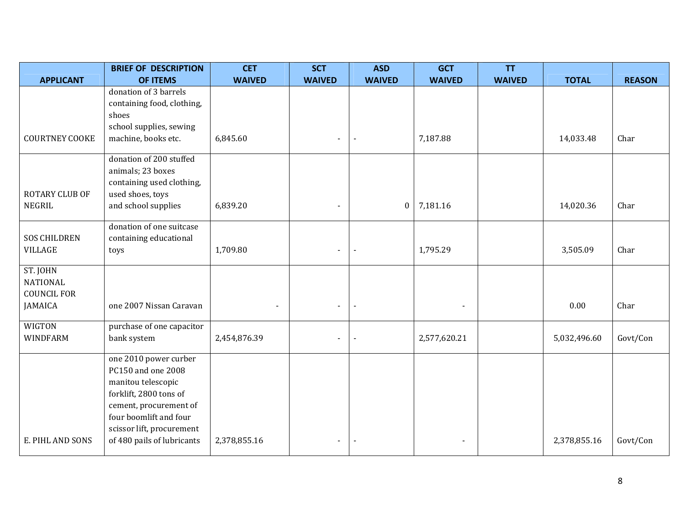|                                       | <b>BRIEF OF DESCRIPTION</b>                                               | <b>CET</b>    | <b>SCT</b>    | <b>ASD</b>               | <b>GCT</b>               | <b>TT</b>     |              |               |
|---------------------------------------|---------------------------------------------------------------------------|---------------|---------------|--------------------------|--------------------------|---------------|--------------|---------------|
| <b>APPLICANT</b>                      | <b>OF ITEMS</b>                                                           | <b>WAIVED</b> | <b>WAIVED</b> | <b>WAIVED</b>            | <b>WAIVED</b>            | <b>WAIVED</b> | <b>TOTAL</b> | <b>REASON</b> |
|                                       | donation of 3 barrels<br>containing food, clothing,                       |               |               |                          |                          |               |              |               |
|                                       | shoes<br>school supplies, sewing                                          |               |               |                          |                          |               |              |               |
| <b>COURTNEY COOKE</b>                 | machine, books etc.                                                       | 6,845.60      |               | $\blacksquare$           | 7,187.88                 |               | 14,033.48    | Char          |
|                                       | donation of 200 stuffed<br>animals; 23 boxes<br>containing used clothing, |               |               |                          |                          |               |              |               |
| ROTARY CLUB OF<br>NEGRIL              | used shoes, toys<br>and school supplies                                   | 6,839.20      |               | $\mathbf{0}$             | 7,181.16                 |               | 14,020.36    | Char          |
| <b>SOS CHILDREN</b><br><b>VILLAGE</b> | donation of one suitcase<br>containing educational<br>toys                | 1,709.80      |               | $\blacksquare$           | 1,795.29                 |               | 3,505.09     | Char          |
| ST. JOHN                              |                                                                           |               |               |                          |                          |               |              |               |
| <b>NATIONAL</b><br><b>COUNCIL FOR</b> |                                                                           |               |               |                          |                          |               |              |               |
| JAMAICA                               | one 2007 Nissan Caravan                                                   |               |               | $\blacksquare$           | $\overline{\phantom{a}}$ |               | 0.00         | Char          |
| WIGTON<br>WINDFARM                    | purchase of one capacitor<br>bank system                                  | 2,454,876.39  |               | $\overline{\phantom{a}}$ | 2,577,620.21             |               | 5,032,496.60 | Govt/Con      |
|                                       | one 2010 power curber<br>PC150 and one 2008<br>manitou telescopic         |               |               |                          |                          |               |              |               |
|                                       | forklift, 2800 tons of<br>cement, procurement of                          |               |               |                          |                          |               |              |               |
|                                       | four boomlift and four<br>scissor lift, procurement                       |               |               |                          |                          |               |              |               |
| E. PIHL AND SONS                      | of 480 pails of lubricants                                                | 2,378,855.16  |               | $\blacksquare$           | $\blacksquare$           |               | 2,378,855.16 | Govt/Con      |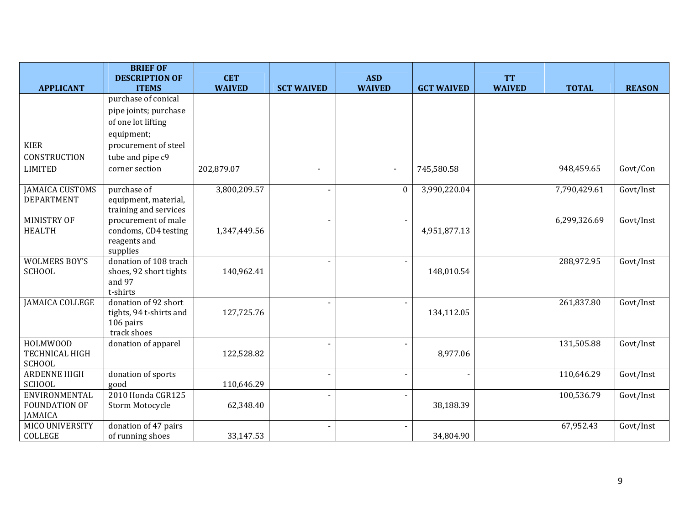|                              | <b>BRIEF OF</b><br><b>DESCRIPTION OF</b> | <b>CET</b>    |                   | <b>ASD</b>               |                   | <b>TT</b>     |              |               |
|------------------------------|------------------------------------------|---------------|-------------------|--------------------------|-------------------|---------------|--------------|---------------|
| <b>APPLICANT</b>             | <b>ITEMS</b>                             | <b>WAIVED</b> | <b>SCT WAIVED</b> | <b>WAIVED</b>            | <b>GCT WAIVED</b> | <b>WAIVED</b> | <b>TOTAL</b> | <b>REASON</b> |
|                              | purchase of conical                      |               |                   |                          |                   |               |              |               |
|                              | pipe joints; purchase                    |               |                   |                          |                   |               |              |               |
|                              | of one lot lifting                       |               |                   |                          |                   |               |              |               |
|                              | equipment;                               |               |                   |                          |                   |               |              |               |
| <b>KIER</b>                  | procurement of steel                     |               |                   |                          |                   |               |              |               |
| <b>CONSTRUCTION</b>          | tube and pipe c9                         |               |                   |                          |                   |               |              |               |
| <b>LIMITED</b>               | corner section                           | 202,879.07    |                   | $\overline{\phantom{a}}$ | 745,580.58        |               | 948,459.65   | Govt/Con      |
|                              |                                          |               |                   |                          |                   |               |              |               |
| <b>JAMAICA CUSTOMS</b>       | purchase of                              | 3,800,209.57  |                   | $\boldsymbol{0}$         | 3,990,220.04      |               | 7,790,429.61 | Govt/Inst     |
| <b>DEPARTMENT</b>            | equipment, material,                     |               |                   |                          |                   |               |              |               |
|                              | training and services                    |               |                   |                          |                   |               |              |               |
| MINISTRY OF<br><b>HEALTH</b> | procurement of male                      |               |                   |                          |                   |               | 6,299,326.69 | Govt/Inst     |
|                              | condoms, CD4 testing<br>reagents and     | 1,347,449.56  |                   |                          | 4,951,877.13      |               |              |               |
|                              | supplies                                 |               |                   |                          |                   |               |              |               |
| <b>WOLMERS BOY'S</b>         | donation of 108 trach                    |               |                   |                          |                   |               | 288,972.95   | Govt/Inst     |
| <b>SCHOOL</b>                | shoes, 92 short tights                   | 140,962.41    |                   |                          | 148,010.54        |               |              |               |
|                              | and 97                                   |               |                   |                          |                   |               |              |               |
|                              | t-shirts                                 |               |                   |                          |                   |               |              |               |
| <b>JAMAICA COLLEGE</b>       | donation of 92 short                     |               |                   | $\blacksquare$           |                   |               | 261,837.80   | Govt/Inst     |
|                              | tights, 94 t-shirts and                  | 127,725.76    |                   |                          | 134,112.05        |               |              |               |
|                              | 106 pairs<br>track shoes                 |               |                   |                          |                   |               |              |               |
| HOLMWOOD                     | donation of apparel                      |               |                   |                          |                   |               | 131,505.88   | Govt/Inst     |
| <b>TECHNICAL HIGH</b>        |                                          | 122,528.82    |                   |                          | 8,977.06          |               |              |               |
| <b>SCHOOL</b>                |                                          |               |                   |                          |                   |               |              |               |
| <b>ARDENNE HIGH</b>          | donation of sports                       |               |                   |                          |                   |               | 110,646.29   | Govt/Inst     |
| SCHOOL                       | good                                     | 110,646.29    |                   |                          |                   |               |              |               |
| ENVIRONMENTAL                | 2010 Honda CGR125                        |               |                   | $\blacksquare$           |                   |               | 100,536.79   | Govt/Inst     |
| <b>FOUNDATION OF</b>         | Storm Motocycle                          | 62,348.40     |                   |                          | 38,188.39         |               |              |               |
| <b>JAMAICA</b>               |                                          |               |                   |                          |                   |               |              |               |
| MICO UNIVERSITY              | donation of 47 pairs                     |               |                   |                          |                   |               | 67,952.43    | Govt/Inst     |
| COLLEGE                      | of running shoes                         | 33,147.53     |                   |                          | 34,804.90         |               |              |               |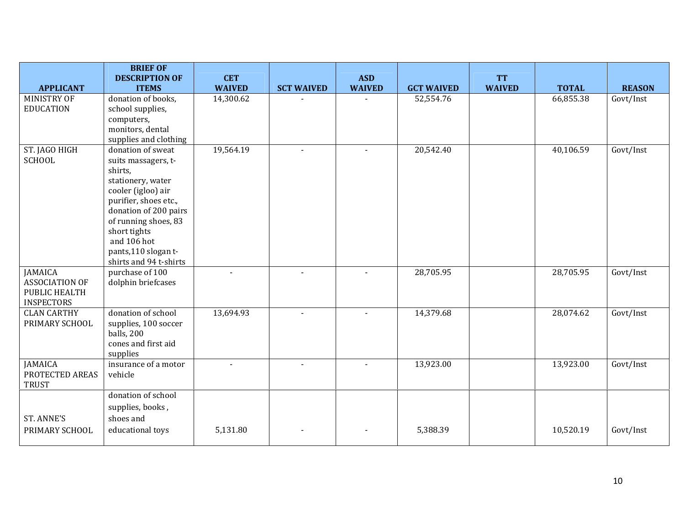|                                                                               | <b>BRIEF OF</b><br><b>DESCRIPTION OF</b>                                                                                                                                                                                                                 | <b>CET</b>    |                   | <b>ASD</b>    |                   | <b>TT</b>     |              |               |
|-------------------------------------------------------------------------------|----------------------------------------------------------------------------------------------------------------------------------------------------------------------------------------------------------------------------------------------------------|---------------|-------------------|---------------|-------------------|---------------|--------------|---------------|
| <b>APPLICANT</b>                                                              | <b>ITEMS</b>                                                                                                                                                                                                                                             | <b>WAIVED</b> | <b>SCT WAIVED</b> | <b>WAIVED</b> | <b>GCT WAIVED</b> | <b>WAIVED</b> | <b>TOTAL</b> | <b>REASON</b> |
| <b>MINISTRY OF</b><br><b>EDUCATION</b>                                        | donation of books,<br>school supplies,<br>computers,<br>monitors, dental<br>supplies and clothing                                                                                                                                                        | 14,300.62     |                   |               | 52,554.76         |               | 66,855.38    | Govt/Inst     |
| ST. JAGO HIGH<br><b>SCHOOL</b>                                                | donation of sweat<br>suits massagers, t-<br>shirts,<br>stationery, water<br>cooler (igloo) air<br>purifier, shoes etc.,<br>donation of 200 pairs<br>of running shoes, 83<br>short tights<br>and 106 hot<br>pants,110 slogan t-<br>shirts and 94 t-shirts | 19,564.19     |                   |               | 20,542.40         |               | 40,106.59    | Govt/Inst     |
| <b>JAMAICA</b><br><b>ASSOCIATION OF</b><br>PUBLIC HEALTH<br><b>INSPECTORS</b> | purchase of 100<br>dolphin briefcases                                                                                                                                                                                                                    |               |                   |               | 28,705.95         |               | 28,705.95    | Govt/Inst     |
| <b>CLAN CARTHY</b><br>PRIMARY SCHOOL                                          | donation of school<br>supplies, 100 soccer<br>balls, 200<br>cones and first aid<br>supplies                                                                                                                                                              | 13,694.93     |                   |               | 14,379.68         |               | 28,074.62    | Govt/Inst     |
| JAMAICA<br>PROTECTED AREAS<br><b>TRUST</b>                                    | insurance of a motor<br>vehicle                                                                                                                                                                                                                          |               |                   |               | 13,923.00         |               | 13,923.00    | Govt/Inst     |
| <b>ST. ANNE'S</b><br>PRIMARY SCHOOL                                           | donation of school<br>supplies, books,<br>shoes and<br>educational toys                                                                                                                                                                                  | 5,131.80      |                   |               | 5,388.39          |               | 10,520.19    | Govt/Inst     |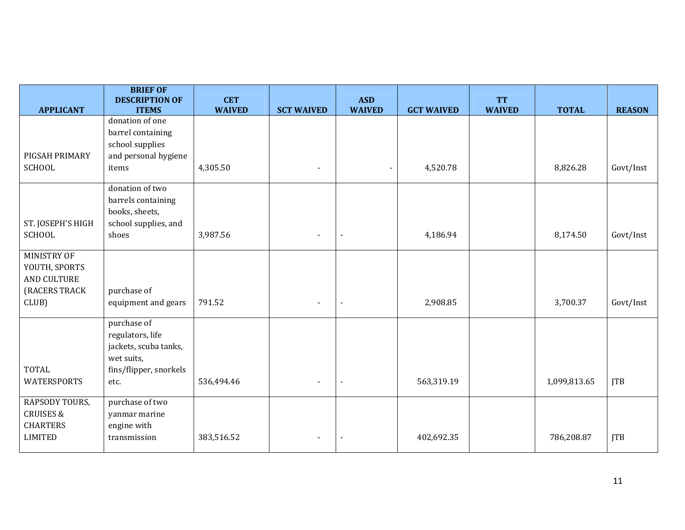|                                                                             | <b>BRIEF OF</b><br><b>DESCRIPTION OF</b>                                                                 | <b>CET</b>    |                          | <b>ASD</b>     |                   | <b>TT</b>     |              |               |
|-----------------------------------------------------------------------------|----------------------------------------------------------------------------------------------------------|---------------|--------------------------|----------------|-------------------|---------------|--------------|---------------|
| <b>APPLICANT</b>                                                            | <b>ITEMS</b>                                                                                             | <b>WAIVED</b> | <b>SCT WAIVED</b>        | <b>WAIVED</b>  | <b>GCT WAIVED</b> | <b>WAIVED</b> | <b>TOTAL</b> | <b>REASON</b> |
| PIGSAH PRIMARY<br><b>SCHOOL</b>                                             | donation of one<br>barrel containing<br>school supplies<br>and personal hygiene<br>items                 | 4,305.50      |                          |                | 4,520.78          |               | 8,826.28     | Govt/Inst     |
| ST. JOSEPH'S HIGH<br><b>SCHOOL</b>                                          | donation of two<br>barrels containing<br>books, sheets,<br>school supplies, and<br>shoes                 | 3,987.56      |                          | $\blacksquare$ | 4,186.94          |               | 8,174.50     | Govt/Inst     |
| MINISTRY OF<br>YOUTH, SPORTS<br>AND CULTURE<br>(RACERS TRACK<br>CLUB)       | purchase of<br>equipment and gears                                                                       | 791.52        | $\overline{\phantom{a}}$ | $\blacksquare$ | 2,908.85          |               | 3,700.37     | Govt/Inst     |
| <b>TOTAL</b><br><b>WATERSPORTS</b>                                          | purchase of<br>regulators, life<br>jackets, scuba tanks,<br>wet suits,<br>fins/flipper, snorkels<br>etc. | 536,494.46    | $\blacksquare$           | $\blacksquare$ | 563,319.19        |               | 1,099,813.65 | <b>JTB</b>    |
| RAPSODY TOURS,<br><b>CRUISES &amp;</b><br><b>CHARTERS</b><br><b>LIMITED</b> | purchase of two<br>yanmar marine<br>engine with<br>transmission                                          | 383,516.52    | $\blacksquare$           | $\blacksquare$ | 402,692.35        |               | 786,208.87   | <b>JTB</b>    |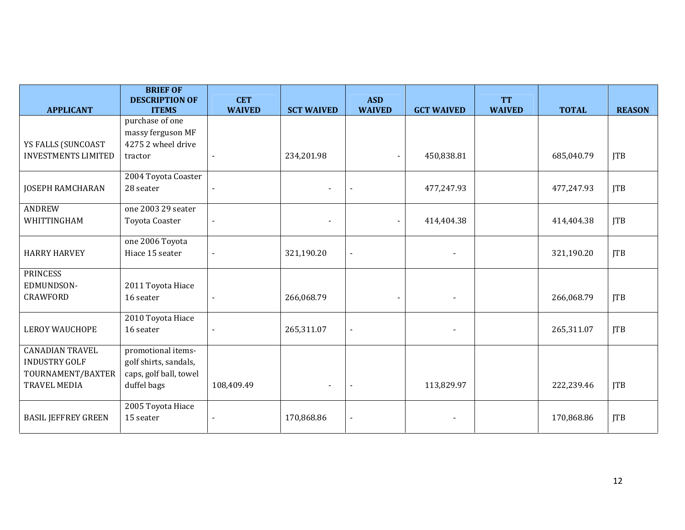|                                                                     | <b>BRIEF OF</b><br><b>DESCRIPTION OF</b>                              | <b>CET</b>     |                   | <b>ASD</b>               |                   | <b>TT</b>     |              |               |
|---------------------------------------------------------------------|-----------------------------------------------------------------------|----------------|-------------------|--------------------------|-------------------|---------------|--------------|---------------|
| <b>APPLICANT</b>                                                    | <b>ITEMS</b>                                                          | <b>WAIVED</b>  | <b>SCT WAIVED</b> | <b>WAIVED</b>            | <b>GCT WAIVED</b> | <b>WAIVED</b> | <b>TOTAL</b> | <b>REASON</b> |
| YS FALLS (SUNCOAST                                                  | purchase of one<br>massy ferguson MF<br>42752 wheel drive             |                |                   |                          |                   |               |              |               |
| <b>INVESTMENTS LIMITED</b>                                          | tractor                                                               | $\sim$         | 234,201.98        | $\blacksquare$           | 450,838.81        |               | 685,040.79   | <b>JTB</b>    |
| <b>JOSEPH RAMCHARAN</b>                                             | 2004 Toyota Coaster<br>28 seater                                      | $\blacksquare$ |                   |                          | 477,247.93        |               | 477,247.93   | <b>ITB</b>    |
| <b>ANDREW</b><br>WHITTINGHAM                                        | one 2003 29 seater<br>Toyota Coaster                                  | $\blacksquare$ | $\blacksquare$    | $\blacksquare$           | 414,404.38        |               | 414,404.38   | <b>ITB</b>    |
| <b>HARRY HARVEY</b>                                                 | one 2006 Toyota<br>Hiace 15 seater                                    | $\blacksquare$ | 321,190.20        | $\overline{\phantom{a}}$ |                   |               | 321,190.20   | <b>JTB</b>    |
| <b>PRINCESS</b><br>EDMUNDSON-                                       | 2011 Toyota Hiace                                                     |                |                   |                          |                   |               |              |               |
| <b>CRAWFORD</b>                                                     | 16 seater                                                             |                | 266,068.79        | $\blacksquare$           |                   |               | 266,068.79   | <b>JTB</b>    |
| <b>LEROY WAUCHOPE</b>                                               | 2010 Toyota Hiace<br>16 seater                                        |                | 265,311.07        |                          |                   |               | 265,311.07   | <b>JTB</b>    |
| <b>CANADIAN TRAVEL</b><br><b>INDUSTRY GOLF</b><br>TOURNAMENT/BAXTER | promotional items-<br>golf shirts, sandals,<br>caps, golf ball, towel |                |                   |                          |                   |               |              |               |
| <b>TRAVEL MEDIA</b>                                                 | duffel bags                                                           | 108,409.49     |                   |                          | 113,829.97        |               | 222,239.46   | <b>JTB</b>    |
| <b>BASIL JEFFREY GREEN</b>                                          | 2005 Toyota Hiace<br>15 seater                                        |                | 170,868.86        |                          |                   |               | 170,868.86   | <b>JTB</b>    |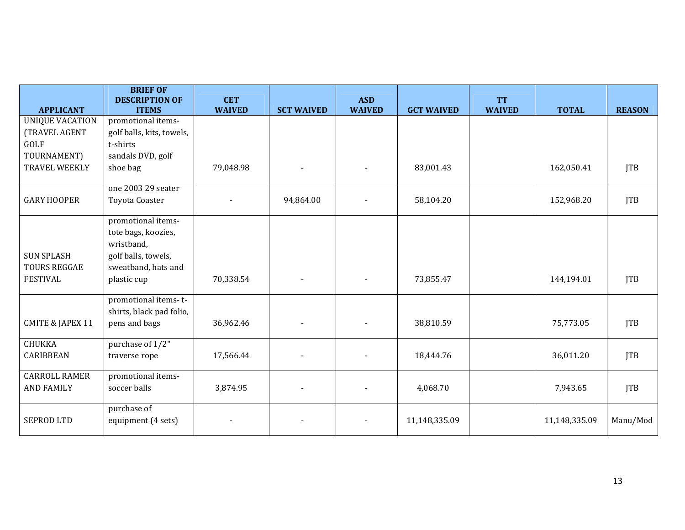|                                           | <b>BRIEF OF</b><br><b>DESCRIPTION OF</b>                                       | <b>CET</b>    |                          | <b>ASD</b>     |                   | <b>TT</b>     |               |               |
|-------------------------------------------|--------------------------------------------------------------------------------|---------------|--------------------------|----------------|-------------------|---------------|---------------|---------------|
| <b>APPLICANT</b>                          | <b>ITEMS</b>                                                                   | <b>WAIVED</b> | <b>SCT WAIVED</b>        | <b>WAIVED</b>  | <b>GCT WAIVED</b> | <b>WAIVED</b> | <b>TOTAL</b>  | <b>REASON</b> |
| <b>UNIQUE VACATION</b>                    | promotional items-                                                             |               |                          |                |                   |               |               |               |
| (TRAVEL AGENT                             | golf balls, kits, towels,                                                      |               |                          |                |                   |               |               |               |
| GOLF                                      | t-shirts                                                                       |               |                          |                |                   |               |               |               |
| TOURNAMENT)                               | sandals DVD, golf                                                              |               |                          |                |                   |               |               |               |
| TRAVEL WEEKLY                             | shoe bag                                                                       | 79,048.98     |                          | $\blacksquare$ | 83,001.43         |               | 162,050.41    | <b>JTB</b>    |
|                                           | one 2003 29 seater                                                             |               |                          |                |                   |               |               |               |
| <b>GARY HOOPER</b>                        | <b>Toyota Coaster</b>                                                          |               | 94,864.00                |                | 58,104.20         |               | 152,968.20    | <b>JTB</b>    |
| <b>SUN SPLASH</b>                         | promotional items-<br>tote bags, koozies,<br>wristband,<br>golf balls, towels, |               |                          |                |                   |               |               |               |
| <b>TOURS REGGAE</b><br><b>FESTIVAL</b>    | sweatband, hats and<br>plastic cup                                             | 70,338.54     | $\overline{\phantom{a}}$ | $\blacksquare$ | 73,855.47         |               | 144,194.01    | <b>JTB</b>    |
| <b>CMITE &amp; JAPEX 11</b>               | promotional items-t-<br>shirts, black pad folio,<br>pens and bags              | 36,962.46     |                          |                | 38,810.59         |               | 75,773.05     | <b>JTB</b>    |
| <b>CHUKKA</b><br>CARIBBEAN                | purchase of 1/2"<br>traverse rope                                              | 17,566.44     |                          |                | 18,444.76         |               | 36,011.20     | <b>JTB</b>    |
| <b>CARROLL RAMER</b><br><b>AND FAMILY</b> | promotional items-<br>soccer balls                                             | 3,874.95      |                          |                | 4,068.70          |               | 7,943.65      | <b>JTB</b>    |
| <b>SEPROD LTD</b>                         | purchase of<br>equipment (4 sets)                                              |               |                          |                | 11,148,335.09     |               | 11,148,335.09 | Manu/Mod      |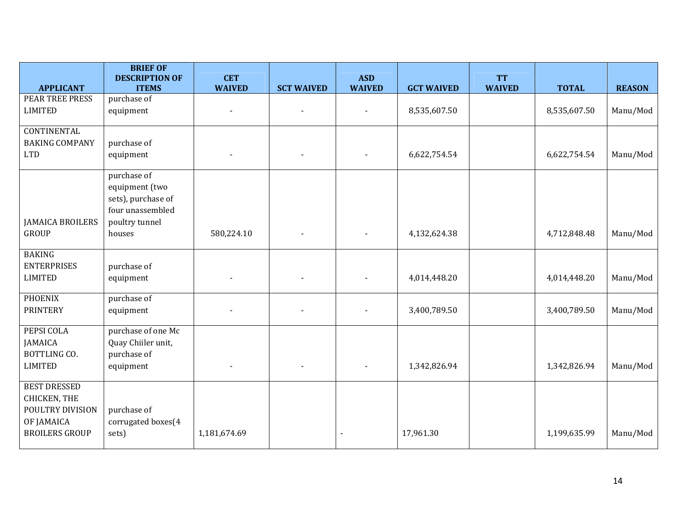|                                                                                                | <b>BRIEF OF</b><br><b>DESCRIPTION OF</b>                                                            | <b>CET</b>               |                   | <b>ASD</b>    |                   | <b>TT</b>     |              |               |
|------------------------------------------------------------------------------------------------|-----------------------------------------------------------------------------------------------------|--------------------------|-------------------|---------------|-------------------|---------------|--------------|---------------|
| <b>APPLICANT</b>                                                                               | <b>ITEMS</b>                                                                                        | <b>WAIVED</b>            | <b>SCT WAIVED</b> | <b>WAIVED</b> | <b>GCT WAIVED</b> | <b>WAIVED</b> | <b>TOTAL</b> | <b>REASON</b> |
| PEAR TREE PRESS<br><b>LIMITED</b>                                                              | purchase of<br>equipment                                                                            | $\overline{\phantom{a}}$ | $\blacksquare$    |               | 8,535,607.50      |               | 8,535,607.50 | Manu/Mod      |
| <b>CONTINENTAL</b><br><b>BAKING COMPANY</b><br><b>LTD</b>                                      | purchase of<br>equipment                                                                            |                          |                   |               | 6,622,754.54      |               | 6,622,754.54 | Manu/Mod      |
| <b>JAMAICA BROILERS</b><br><b>GROUP</b>                                                        | purchase of<br>equipment (two<br>sets), purchase of<br>four unassembled<br>poultry tunnel<br>houses | 580,224.10               |                   |               | 4,132,624.38      |               | 4,712,848.48 | Manu/Mod      |
| <b>BAKING</b><br><b>ENTERPRISES</b><br><b>LIMITED</b>                                          | purchase of<br>equipment                                                                            |                          |                   |               | 4,014,448.20      |               | 4,014,448.20 | Manu/Mod      |
| <b>PHOENIX</b><br><b>PRINTERY</b>                                                              | purchase of<br>equipment                                                                            |                          |                   |               | 3,400,789.50      |               | 3,400,789.50 | Manu/Mod      |
| PEPSI COLA<br>JAMAICA<br>BOTTLING CO.<br><b>LIMITED</b>                                        | purchase of one Mc<br>Quay Chiiler unit,<br>purchase of<br>equipment                                |                          |                   |               | 1,342,826.94      |               | 1,342,826.94 | Manu/Mod      |
| <b>BEST DRESSED</b><br>CHICKEN, THE<br>POULTRY DIVISION<br>OF JAMAICA<br><b>BROILERS GROUP</b> | purchase of<br>corrugated boxes(4<br>sets)                                                          | 1,181,674.69             |                   |               | 17,961.30         |               | 1,199,635.99 | Manu/Mod      |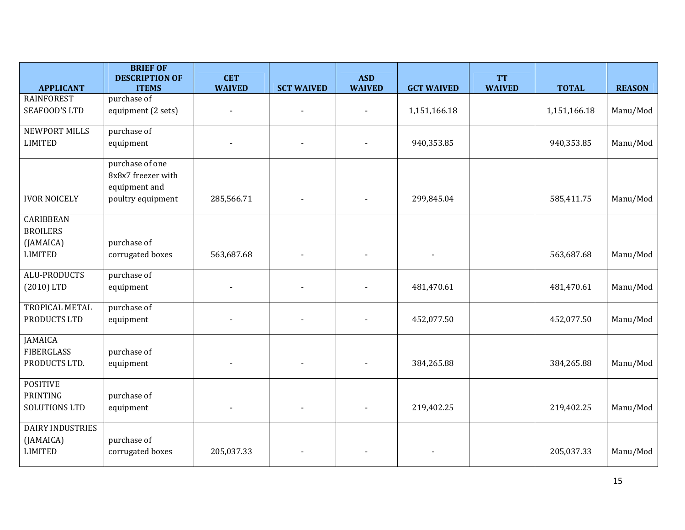| <b>APPLICANT</b>                                                   | <b>BRIEF OF</b><br><b>DESCRIPTION OF</b><br><b>ITEMS</b>                    | <b>CET</b><br><b>WAIVED</b> | <b>SCT WAIVED</b> | <b>ASD</b><br><b>WAIVED</b> | <b>GCT WAIVED</b> | <b>TT</b><br><b>WAIVED</b> | <b>TOTAL</b> | <b>REASON</b> |
|--------------------------------------------------------------------|-----------------------------------------------------------------------------|-----------------------------|-------------------|-----------------------------|-------------------|----------------------------|--------------|---------------|
| <b>RAINFOREST</b><br><b>SEAFOOD'S LTD</b>                          | purchase of<br>equipment (2 sets)                                           |                             |                   |                             | 1,151,166.18      |                            | 1,151,166.18 | Manu/Mod      |
| NEWPORT MILLS<br><b>LIMITED</b>                                    | purchase of<br>equipment                                                    |                             |                   |                             | 940,353.85        |                            | 940,353.85   | Manu/Mod      |
| <b>IVOR NOICELY</b>                                                | purchase of one<br>8x8x7 freezer with<br>equipment and<br>poultry equipment | 285,566.71                  |                   |                             | 299,845.04        |                            | 585,411.75   | Manu/Mod      |
| <b>CARIBBEAN</b><br><b>BROILERS</b><br>(JAMAICA)<br><b>LIMITED</b> | purchase of<br>corrugated boxes                                             | 563,687.68                  |                   |                             |                   |                            | 563,687.68   | Manu/Mod      |
| <b>ALU-PRODUCTS</b><br>$(2010)$ LTD                                | purchase of<br>equipment                                                    |                             |                   |                             | 481,470.61        |                            | 481,470.61   | Manu/Mod      |
| TROPICAL METAL<br>PRODUCTS LTD                                     | purchase of<br>equipment                                                    |                             |                   |                             | 452,077.50        |                            | 452,077.50   | Manu/Mod      |
| <b>JAMAICA</b><br><b>FIBERGLASS</b><br>PRODUCTS LTD.               | purchase of<br>equipment                                                    |                             |                   |                             | 384,265.88        |                            | 384,265.88   | Manu/Mod      |
| <b>POSITIVE</b><br>PRINTING<br>SOLUTIONS LTD                       | purchase of<br>equipment                                                    |                             |                   |                             | 219,402.25        |                            | 219,402.25   | Manu/Mod      |
| <b>DAIRY INDUSTRIES</b><br>(JAMAICA)<br><b>LIMITED</b>             | purchase of<br>corrugated boxes                                             | 205,037.33                  |                   |                             |                   |                            | 205,037.33   | Manu/Mod      |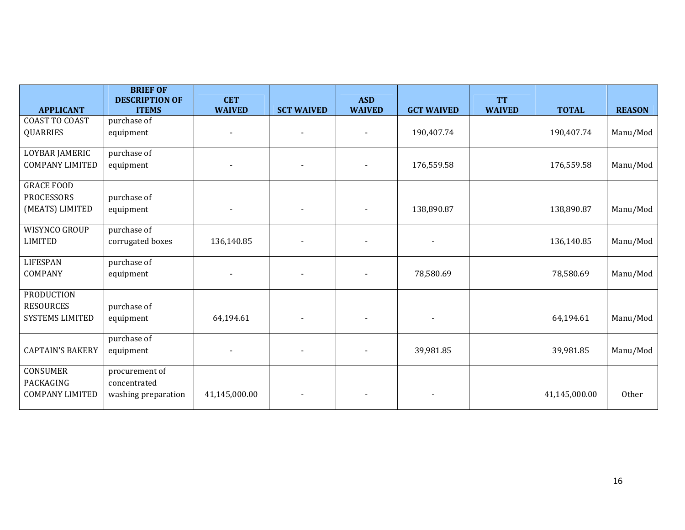|                         | <b>BRIEF OF</b>                       |                             |                   |                             |                          |                            |               |               |
|-------------------------|---------------------------------------|-----------------------------|-------------------|-----------------------------|--------------------------|----------------------------|---------------|---------------|
| <b>APPLICANT</b>        | <b>DESCRIPTION OF</b><br><b>ITEMS</b> | <b>CET</b><br><b>WAIVED</b> | <b>SCT WAIVED</b> | <b>ASD</b><br><b>WAIVED</b> | <b>GCT WAIVED</b>        | <b>TT</b><br><b>WAIVED</b> | <b>TOTAL</b>  | <b>REASON</b> |
| <b>COAST TO COAST</b>   | purchase of                           |                             |                   |                             |                          |                            |               |               |
| <b>QUARRIES</b>         |                                       |                             |                   | $\blacksquare$              | 190,407.74               |                            | 190,407.74    | Manu/Mod      |
|                         | equipment                             | $\blacksquare$              |                   |                             |                          |                            |               |               |
| LOYBAR JAMERIC          | purchase of                           |                             |                   |                             |                          |                            |               |               |
| <b>COMPANY LIMITED</b>  | equipment                             |                             |                   |                             | 176,559.58               |                            | 176,559.58    | Manu/Mod      |
| <b>GRACE FOOD</b>       |                                       |                             |                   |                             |                          |                            |               |               |
| <b>PROCESSORS</b>       | purchase of                           |                             |                   |                             |                          |                            |               |               |
| (MEATS) LIMITED         | equipment                             | $\overline{\phantom{0}}$    |                   |                             | 138,890.87               |                            | 138,890.87    | Manu/Mod      |
| WISYNCO GROUP           | purchase of                           |                             |                   |                             |                          |                            |               |               |
| <b>LIMITED</b>          | corrugated boxes                      | 136,140.85                  |                   |                             |                          |                            | 136,140.85    | Manu/Mod      |
| <b>LIFESPAN</b>         | purchase of                           |                             |                   |                             |                          |                            |               |               |
| COMPANY                 | equipment                             |                             |                   |                             | 78,580.69                |                            | 78,580.69     | Manu/Mod      |
| <b>PRODUCTION</b>       |                                       |                             |                   |                             |                          |                            |               |               |
| <b>RESOURCES</b>        | purchase of                           |                             |                   |                             |                          |                            |               |               |
| SYSTEMS LIMITED         | equipment                             | 64,194.61                   |                   |                             | $\blacksquare$           |                            | 64,194.61     | Manu/Mod      |
|                         | purchase of                           |                             |                   |                             |                          |                            |               |               |
| <b>CAPTAIN'S BAKERY</b> | equipment                             | $\sim$                      |                   |                             | 39,981.85                |                            | 39,981.85     | Manu/Mod      |
| CONSUMER                | procurement of                        |                             |                   |                             |                          |                            |               |               |
| PACKAGING               | concentrated                          |                             |                   |                             |                          |                            |               |               |
| <b>COMPANY LIMITED</b>  | washing preparation                   | 41,145,000.00               |                   |                             | $\overline{\phantom{a}}$ |                            | 41,145,000.00 | Other         |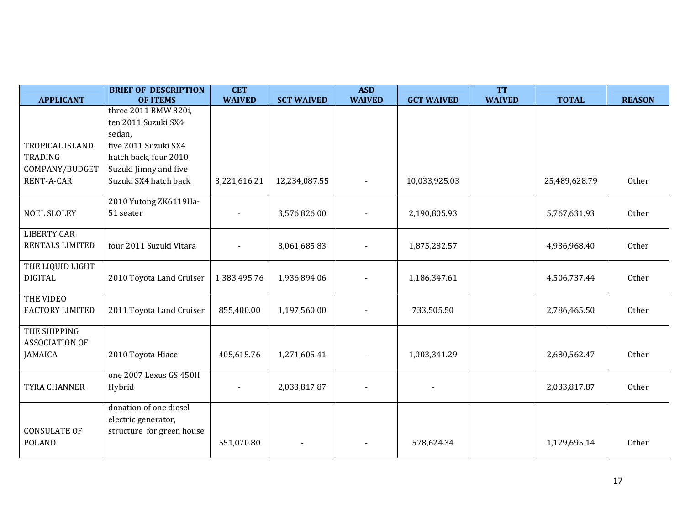|                        | <b>BRIEF OF DESCRIPTION</b> | <b>CET</b>     |                          | <b>ASD</b>    |                   | <b>TT</b>     |               |               |
|------------------------|-----------------------------|----------------|--------------------------|---------------|-------------------|---------------|---------------|---------------|
| <b>APPLICANT</b>       | <b>OF ITEMS</b>             | <b>WAIVED</b>  | <b>SCT WAIVED</b>        | <b>WAIVED</b> | <b>GCT WAIVED</b> | <b>WAIVED</b> | <b>TOTAL</b>  | <b>REASON</b> |
|                        | three 2011 BMW 320i,        |                |                          |               |                   |               |               |               |
|                        | ten 2011 Suzuki SX4         |                |                          |               |                   |               |               |               |
|                        | sedan,                      |                |                          |               |                   |               |               |               |
| TROPICAL ISLAND        | five 2011 Suzuki SX4        |                |                          |               |                   |               |               |               |
| <b>TRADING</b>         | hatch back, four 2010       |                |                          |               |                   |               |               |               |
| COMPANY/BUDGET         | Suzuki Jimny and five       |                |                          |               |                   |               |               |               |
| RENT-A-CAR             | Suzuki SX4 hatch back       | 3,221,616.21   | 12,234,087.55            |               | 10,033,925.03     |               | 25,489,628.79 | Other         |
|                        |                             |                |                          |               |                   |               |               |               |
|                        | 2010 Yutong ZK6119Ha-       |                |                          |               |                   |               |               |               |
| <b>NOEL SLOLEY</b>     | 51 seater                   | $\blacksquare$ | 3,576,826.00             |               | 2,190,805.93      |               | 5,767,631.93  | Other         |
|                        |                             |                |                          |               |                   |               |               |               |
| <b>LIBERTY CAR</b>     |                             |                |                          |               |                   |               |               |               |
| RENTALS LIMITED        | four 2011 Suzuki Vitara     |                | 3,061,685.83             |               | 1,875,282.57      |               | 4,936,968.40  | Other         |
| THE LIQUID LIGHT       |                             |                |                          |               |                   |               |               |               |
| <b>DIGITAL</b>         | 2010 Toyota Land Cruiser    | 1,383,495.76   | 1,936,894.06             |               | 1,186,347.61      |               | 4,506,737.44  | Other         |
|                        |                             |                |                          |               |                   |               |               |               |
| THE VIDEO              |                             |                |                          |               |                   |               |               |               |
| <b>FACTORY LIMITED</b> | 2011 Toyota Land Cruiser    | 855,400.00     | 1,197,560.00             |               | 733,505.50        |               | 2,786,465.50  | Other         |
|                        |                             |                |                          |               |                   |               |               |               |
| THE SHIPPING           |                             |                |                          |               |                   |               |               |               |
| <b>ASSOCIATION OF</b>  |                             |                |                          |               |                   |               |               |               |
| <b>JAMAICA</b>         | 2010 Toyota Hiace           | 405,615.76     | 1,271,605.41             |               | 1,003,341.29      |               | 2,680,562.47  | Other         |
|                        |                             |                |                          |               |                   |               |               |               |
|                        | one 2007 Lexus GS 450H      |                |                          |               |                   |               |               |               |
| <b>TYRA CHANNER</b>    | Hybrid                      | $\blacksquare$ | 2,033,817.87             |               |                   |               | 2,033,817.87  | Other         |
|                        | donation of one diesel      |                |                          |               |                   |               |               |               |
|                        | electric generator,         |                |                          |               |                   |               |               |               |
| <b>CONSULATE OF</b>    | structure for green house   |                |                          |               |                   |               |               |               |
| <b>POLAND</b>          |                             | 551,070.80     | $\overline{\phantom{a}}$ |               | 578,624.34        |               | 1,129,695.14  | Other         |
|                        |                             |                |                          |               |                   |               |               |               |
|                        |                             |                |                          |               |                   |               |               |               |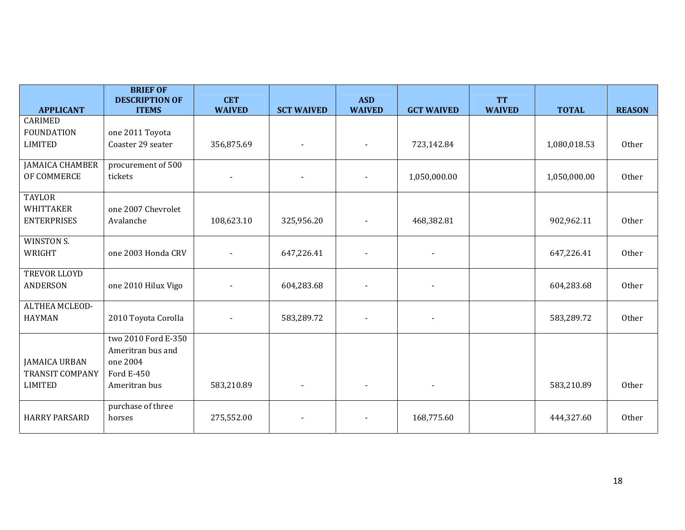|                        | <b>BRIEF OF</b><br><b>DESCRIPTION OF</b> | <b>CET</b>    |                   | <b>ASD</b>               |                          | <b>TT</b>     |              |               |
|------------------------|------------------------------------------|---------------|-------------------|--------------------------|--------------------------|---------------|--------------|---------------|
| <b>APPLICANT</b>       | <b>ITEMS</b>                             | <b>WAIVED</b> | <b>SCT WAIVED</b> | <b>WAIVED</b>            | <b>GCT WAIVED</b>        | <b>WAIVED</b> | <b>TOTAL</b> | <b>REASON</b> |
| <b>CARIMED</b>         |                                          |               |                   |                          |                          |               |              |               |
| <b>FOUNDATION</b>      | one 2011 Toyota                          |               |                   |                          |                          |               |              |               |
| <b>LIMITED</b>         | Coaster 29 seater                        | 356,875.69    |                   |                          | 723,142.84               |               | 1,080,018.53 | Other         |
| <b>JAMAICA CHAMBER</b> | procurement of 500                       |               |                   |                          |                          |               |              |               |
| OF COMMERCE            | tickets                                  |               |                   | $\blacksquare$           | 1,050,000.00             |               | 1,050,000.00 | Other         |
| <b>TAYLOR</b>          |                                          |               |                   |                          |                          |               |              |               |
| <b>WHITTAKER</b>       | one 2007 Chevrolet                       |               |                   |                          |                          |               |              |               |
| <b>ENTERPRISES</b>     | Avalanche                                | 108,623.10    | 325,956.20        |                          | 468,382.81               |               | 902,962.11   | Other         |
| WINSTON S.             |                                          |               |                   |                          |                          |               |              |               |
| WRIGHT                 | one 2003 Honda CRV                       |               | 647,226.41        |                          |                          |               | 647,226.41   | Other         |
| TREVOR LLOYD           |                                          |               |                   |                          |                          |               |              |               |
| <b>ANDERSON</b>        | one 2010 Hilux Vigo                      |               | 604,283.68        |                          |                          |               | 604,283.68   | Other         |
| ALTHEA MCLEOD-         |                                          |               |                   |                          |                          |               |              |               |
| <b>HAYMAN</b>          | 2010 Toyota Corolla                      |               | 583,289.72        |                          |                          |               | 583,289.72   | Other         |
|                        | two 2010 Ford E-350<br>Ameritran bus and |               |                   |                          |                          |               |              |               |
| <b>JAMAICA URBAN</b>   | one 2004                                 |               |                   |                          |                          |               |              |               |
| <b>TRANSIT COMPANY</b> | Ford E-450                               |               |                   |                          |                          |               |              |               |
| <b>LIMITED</b>         | Ameritran bus                            | 583,210.89    |                   | $\overline{\phantom{a}}$ | $\overline{\phantom{a}}$ |               | 583,210.89   | Other         |
|                        |                                          |               |                   |                          |                          |               |              |               |
|                        | purchase of three                        |               |                   |                          |                          |               |              |               |
| <b>HARRY PARSARD</b>   | horses                                   | 275,552.00    |                   | $\overline{\phantom{a}}$ | 168,775.60               |               | 444,327.60   | Other         |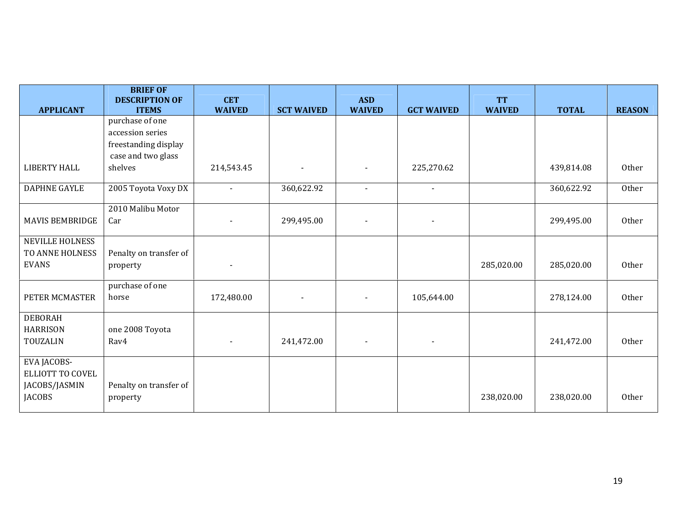|                        | <b>BRIEF OF</b><br><b>DESCRIPTION OF</b> | <b>CET</b>               |                   | <b>ASD</b>     |                   | <b>TT</b>     |              |               |
|------------------------|------------------------------------------|--------------------------|-------------------|----------------|-------------------|---------------|--------------|---------------|
| <b>APPLICANT</b>       | <b>ITEMS</b>                             | <b>WAIVED</b>            | <b>SCT WAIVED</b> | <b>WAIVED</b>  | <b>GCT WAIVED</b> | <b>WAIVED</b> | <b>TOTAL</b> | <b>REASON</b> |
|                        | purchase of one                          |                          |                   |                |                   |               |              |               |
|                        | accession series                         |                          |                   |                |                   |               |              |               |
|                        | freestanding display                     |                          |                   |                |                   |               |              |               |
|                        | case and two glass                       |                          |                   |                |                   |               |              |               |
| <b>LIBERTY HALL</b>    | shelves                                  | 214,543.45               |                   |                | 225,270.62        |               | 439,814.08   | Other         |
| <b>DAPHNE GAYLE</b>    | 2005 Toyota Voxy DX                      | $\blacksquare$           | 360,622.92        | $\blacksquare$ | $\blacksquare$    |               | 360,622.92   | Other         |
|                        | 2010 Malibu Motor                        |                          |                   |                |                   |               |              |               |
| <b>MAVIS BEMBRIDGE</b> | Car                                      |                          | 299,495.00        |                |                   |               | 299,495.00   | Other         |
| NEVILLE HOLNESS        |                                          |                          |                   |                |                   |               |              |               |
| TO ANNE HOLNESS        | Penalty on transfer of                   |                          |                   |                |                   |               |              |               |
| <b>EVANS</b>           | property                                 | $\overline{\phantom{a}}$ |                   |                |                   | 285,020.00    | 285,020.00   | Other         |
|                        | purchase of one                          |                          |                   |                |                   |               |              |               |
| PETER MCMASTER         | horse                                    | 172,480.00               |                   |                | 105,644.00        |               | 278,124.00   | Other         |
| <b>DEBORAH</b>         |                                          |                          |                   |                |                   |               |              |               |
| <b>HARRISON</b>        | one 2008 Toyota                          |                          |                   |                |                   |               |              |               |
| TOUZALIN               | Rav4                                     | $\overline{\phantom{a}}$ | 241,472.00        |                |                   |               | 241,472.00   | Other         |
| EVA JACOBS-            |                                          |                          |                   |                |                   |               |              |               |
| ELLIOTT TO COVEL       |                                          |                          |                   |                |                   |               |              |               |
| JACOBS/JASMIN          | Penalty on transfer of                   |                          |                   |                |                   |               |              |               |
| <b>JACOBS</b>          | property                                 |                          |                   |                |                   | 238,020.00    | 238,020.00   | Other         |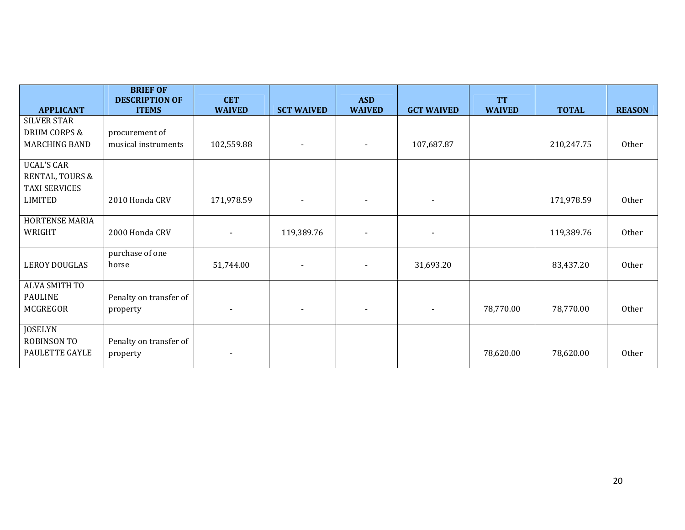|                                                                         | <b>BRIEF OF</b><br><b>DESCRIPTION OF</b> | <b>CET</b>               |                          | <b>ASD</b>               |                          | <b>TT</b>     |              |               |
|-------------------------------------------------------------------------|------------------------------------------|--------------------------|--------------------------|--------------------------|--------------------------|---------------|--------------|---------------|
| <b>APPLICANT</b>                                                        | <b>ITEMS</b>                             | <b>WAIVED</b>            | <b>SCT WAIVED</b>        | <b>WAIVED</b>            | <b>GCT WAIVED</b>        | <b>WAIVED</b> | <b>TOTAL</b> | <b>REASON</b> |
| <b>SILVER STAR</b><br><b>DRUM CORPS &amp;</b><br>MARCHING BAND          | procurement of<br>musical instruments    | 102,559.88               | $\blacksquare$           | $\blacksquare$           | 107,687.87               |               | 210,247.75   | Other         |
| <b>UCAL'S CAR</b><br>RENTAL, TOURS &<br><b>TAXI SERVICES</b><br>LIMITED | 2010 Honda CRV                           | 171,978.59               | $\overline{\phantom{a}}$ | $\overline{\phantom{a}}$ | $\overline{\phantom{a}}$ |               | 171,978.59   | Other         |
| HORTENSE MARIA<br>WRIGHT                                                | 2000 Honda CRV                           |                          | 119,389.76               |                          |                          |               | 119,389.76   | Other         |
| <b>LEROY DOUGLAS</b>                                                    | purchase of one<br>horse                 | 51,744.00                |                          | $\blacksquare$           | 31,693.20                |               | 83,437.20    | Other         |
| ALVA SMITH TO<br><b>PAULINE</b><br>MCGREGOR                             | Penalty on transfer of<br>property       | $\overline{\phantom{a}}$ |                          | $\overline{\phantom{a}}$ | $\overline{\phantom{a}}$ | 78,770.00     | 78,770.00    | Other         |
| <b>JOSELYN</b><br>ROBINSON TO<br>PAULETTE GAYLE                         | Penalty on transfer of<br>property       | $\overline{\phantom{a}}$ |                          |                          |                          | 78,620.00     | 78,620.00    | Other         |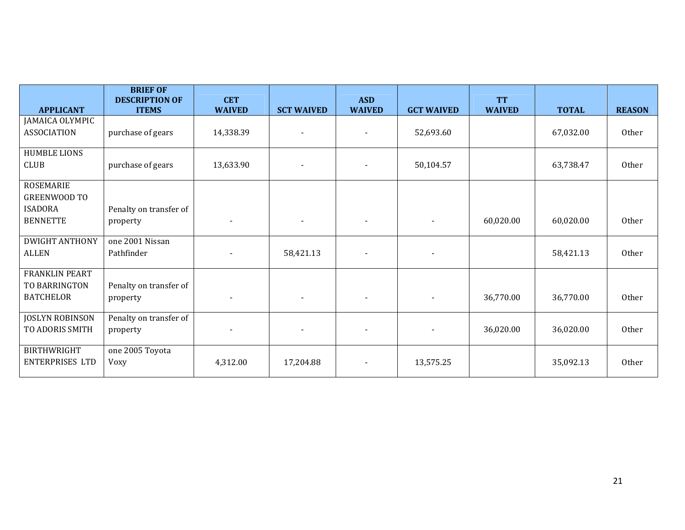|                                                                              | <b>BRIEF OF</b><br><b>DESCRIPTION OF</b> | <b>CET</b>    |                   | <b>ASD</b>               |                   | <b>TT</b>     |              |               |
|------------------------------------------------------------------------------|------------------------------------------|---------------|-------------------|--------------------------|-------------------|---------------|--------------|---------------|
| <b>APPLICANT</b>                                                             | <b>ITEMS</b>                             | <b>WAIVED</b> | <b>SCT WAIVED</b> | <b>WAIVED</b>            | <b>GCT WAIVED</b> | <b>WAIVED</b> | <b>TOTAL</b> | <b>REASON</b> |
| JAMAICA OLYMPIC<br><b>ASSOCIATION</b>                                        | purchase of gears                        | 14,338.39     |                   | $\overline{\phantom{a}}$ | 52,693.60         |               | 67,032.00    | <b>Other</b>  |
| <b>HUMBLE LIONS</b><br><b>CLUB</b>                                           | purchase of gears                        | 13,633.90     |                   |                          | 50,104.57         |               | 63,738.47    | Other         |
| <b>ROSEMARIE</b><br><b>GREENWOOD TO</b><br><b>ISADORA</b><br><b>BENNETTE</b> | Penalty on transfer of<br>property       |               |                   |                          | $\blacksquare$    | 60,020.00     | 60,020.00    | Other         |
| <b>DWIGHT ANTHONY</b><br><b>ALLEN</b>                                        | one 2001 Nissan<br>Pathfinder            |               | 58,421.13         |                          |                   |               | 58,421.13    | Other         |
| <b>FRANKLIN PEART</b><br>TO BARRINGTON<br><b>BATCHELOR</b>                   | Penalty on transfer of<br>property       |               |                   |                          | $\blacksquare$    | 36,770.00     | 36,770.00    | Other         |
| <b>JOSLYN ROBINSON</b><br>TO ADORIS SMITH                                    | Penalty on transfer of<br>property       |               |                   |                          | $\blacksquare$    | 36,020.00     | 36,020.00    | Other         |
| <b>BIRTHWRIGHT</b><br><b>ENTERPRISES LTD</b>                                 | one 2005 Toyota<br>Voxy                  | 4,312.00      | 17,204.88         | $\blacksquare$           | 13,575.25         |               | 35,092.13    | Other         |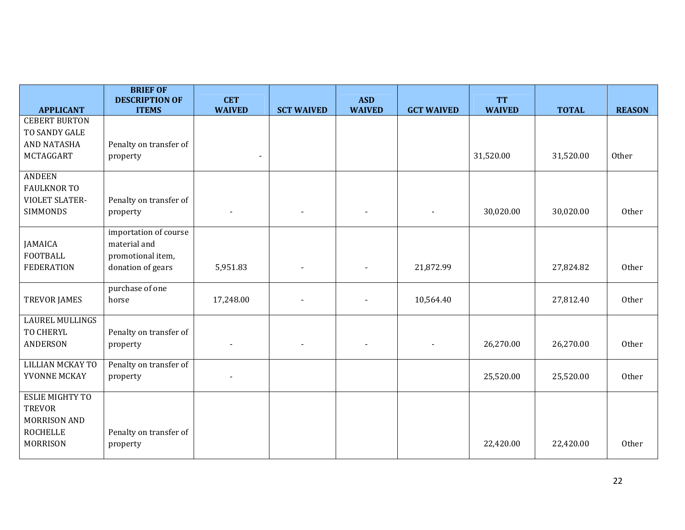|                                                                                                      | <b>BRIEF OF</b><br><b>DESCRIPTION OF</b>                                        | <b>CET</b>               |                   | <b>ASD</b>               |                   | <b>TT</b>     |              |               |
|------------------------------------------------------------------------------------------------------|---------------------------------------------------------------------------------|--------------------------|-------------------|--------------------------|-------------------|---------------|--------------|---------------|
| <b>APPLICANT</b>                                                                                     | <b>ITEMS</b>                                                                    | <b>WAIVED</b>            | <b>SCT WAIVED</b> | <b>WAIVED</b>            | <b>GCT WAIVED</b> | <b>WAIVED</b> | <b>TOTAL</b> | <b>REASON</b> |
| <b>CEBERT BURTON</b><br>TO SANDY GALE<br><b>AND NATASHA</b><br>MCTAGGART                             | Penalty on transfer of<br>property                                              | $\blacksquare$           |                   |                          |                   | 31,520.00     | 31,520.00    | Other         |
| <b>ANDEEN</b><br><b>FAULKNOR TO</b><br><b>VIOLET SLATER-</b><br><b>SIMMONDS</b>                      | Penalty on transfer of<br>property                                              | $\overline{\phantom{a}}$ | $\blacksquare$    | $\overline{\phantom{a}}$ |                   | 30,020.00     | 30,020.00    | Other         |
| <b>JAMAICA</b><br><b>FOOTBALL</b><br><b>FEDERATION</b>                                               | importation of course<br>material and<br>promotional item,<br>donation of gears | 5,951.83                 |                   |                          | 21,872.99         |               | 27,824.82    | Other         |
| <b>TREVOR JAMES</b>                                                                                  | purchase of one<br>horse                                                        | 17,248.00                |                   |                          | 10,564.40         |               | 27,812.40    | Other         |
| <b>LAUREL MULLINGS</b><br>TO CHERYL<br>ANDERSON                                                      | Penalty on transfer of<br>property                                              |                          |                   |                          |                   | 26,270.00     | 26,270.00    | Other         |
| <b>LILLIAN MCKAY TO</b><br>YVONNE MCKAY                                                              | Penalty on transfer of<br>property                                              |                          |                   |                          |                   | 25,520.00     | 25,520.00    | Other         |
| <b>ESLIE MIGHTY TO</b><br><b>TREVOR</b><br><b>MORRISON AND</b><br><b>ROCHELLE</b><br><b>MORRISON</b> | Penalty on transfer of<br>property                                              |                          |                   |                          |                   | 22,420.00     | 22,420.00    | Other         |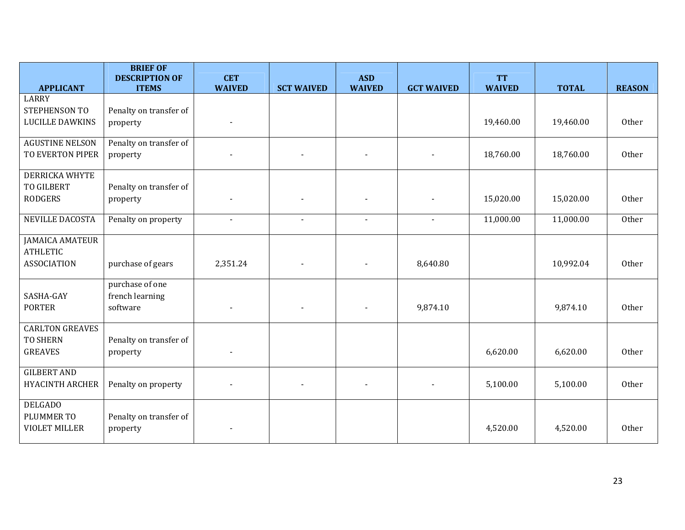|                                                                 | <b>BRIEF OF</b><br><b>DESCRIPTION OF</b>       | <b>CET</b>               |                   | <b>ASD</b>     |                   | <b>TT</b>     |              |               |
|-----------------------------------------------------------------|------------------------------------------------|--------------------------|-------------------|----------------|-------------------|---------------|--------------|---------------|
| <b>APPLICANT</b>                                                | <b>ITEMS</b>                                   | <b>WAIVED</b>            | <b>SCT WAIVED</b> | <b>WAIVED</b>  | <b>GCT WAIVED</b> | <b>WAIVED</b> | <b>TOTAL</b> | <b>REASON</b> |
| <b>LARRY</b><br>STEPHENSON TO<br><b>LUCILLE DAWKINS</b>         | Penalty on transfer of<br>property             |                          |                   |                |                   | 19,460.00     | 19,460.00    | Other         |
| <b>AGUSTINE NELSON</b><br>TO EVERTON PIPER                      | Penalty on transfer of<br>property             |                          |                   |                |                   | 18,760.00     | 18,760.00    | Other         |
| <b>DERRICKA WHYTE</b><br><b>TO GILBERT</b><br><b>RODGERS</b>    | Penalty on transfer of<br>property             |                          |                   |                |                   | 15,020.00     | 15,020.00    | Other         |
| <b>NEVILLE DACOSTA</b>                                          | Penalty on property                            |                          |                   |                |                   | 11,000.00     | 11,000.00    | Other         |
| <b>JAMAICA AMATEUR</b><br><b>ATHLETIC</b><br><b>ASSOCIATION</b> | purchase of gears                              | 2,351.24                 |                   | $\blacksquare$ | 8,640.80          |               | 10,992.04    | Other         |
| SASHA-GAY<br><b>PORTER</b>                                      | purchase of one<br>french learning<br>software | $\overline{\phantom{a}}$ |                   | $\blacksquare$ | 9,874.10          |               | 9,874.10     | Other         |
| <b>CARLTON GREAVES</b><br><b>TO SHERN</b><br><b>GREAVES</b>     | Penalty on transfer of<br>property             |                          |                   |                |                   | 6,620.00      | 6,620.00     | Other         |
| <b>GILBERT AND</b><br><b>HYACINTH ARCHER</b>                    | Penalty on property                            |                          |                   | $\blacksquare$ |                   | 5,100.00      | 5,100.00     | Other         |
| <b>DELGADO</b><br>PLUMMER TO<br><b>VIOLET MILLER</b>            | Penalty on transfer of<br>property             |                          |                   |                |                   | 4,520.00      | 4,520.00     | Other         |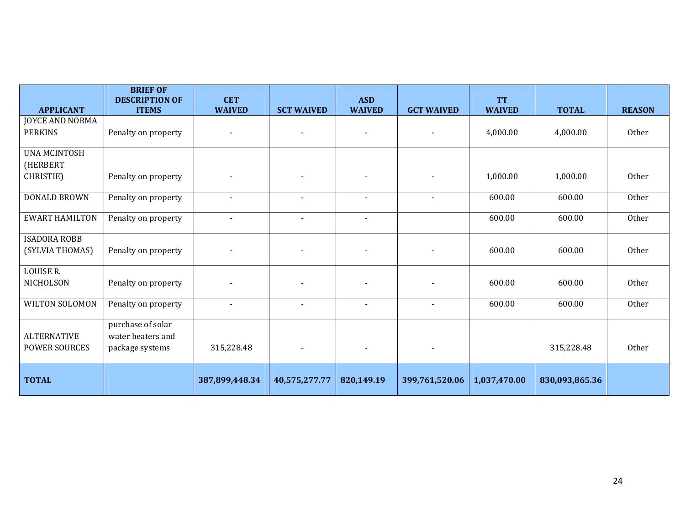|                        | <b>BRIEF OF</b><br><b>DESCRIPTION OF</b> | <b>CET</b>               |                          | <b>ASD</b>                   |                   | <b>TT</b>     |                |               |
|------------------------|------------------------------------------|--------------------------|--------------------------|------------------------------|-------------------|---------------|----------------|---------------|
| <b>APPLICANT</b>       | <b>ITEMS</b>                             | <b>WAIVED</b>            | <b>SCT WAIVED</b>        | <b>WAIVED</b>                | <b>GCT WAIVED</b> | <b>WAIVED</b> | <b>TOTAL</b>   | <b>REASON</b> |
| <b>JOYCE AND NORMA</b> |                                          |                          |                          |                              |                   |               |                |               |
| <b>PERKINS</b>         | Penalty on property                      | $\blacksquare$           | $\blacksquare$           | $\overline{\phantom{0}}$     | $\blacksquare$    | 4,000.00      | 4,000.00       | Other         |
| <b>UNA MCINTOSH</b>    |                                          |                          |                          |                              |                   |               |                |               |
| (HERBERT               |                                          |                          |                          |                              |                   |               |                |               |
| CHRISTIE)              | Penalty on property                      | $\overline{\phantom{a}}$ | $\overline{\phantom{a}}$ |                              |                   | 1,000.00      | 1,000.00       | Other         |
| DONALD BROWN           | Penalty on property                      | $\overline{\phantom{a}}$ | $\blacksquare$           | $\blacksquare$               |                   | 600.00        | 600.00         | Other         |
| <b>EWART HAMILTON</b>  | Penalty on property                      | $\overline{\phantom{a}}$ | $\overline{\phantom{a}}$ | $\blacksquare$               |                   | 600.00        | 600.00         | Other         |
| <b>ISADORA ROBB</b>    |                                          |                          |                          |                              |                   |               |                |               |
| (SYLVIA THOMAS)        | Penalty on property                      |                          |                          |                              |                   | 600.00        | 600.00         | Other         |
| <b>LOUISE R.</b>       |                                          |                          |                          |                              |                   |               |                |               |
| NICHOLSON              | Penalty on property                      |                          |                          |                              |                   | 600.00        | 600.00         | Other         |
| WILTON SOLOMON         | Penalty on property                      |                          | $\overline{\phantom{a}}$ | $\qquad \qquad \blacksquare$ |                   | 600.00        | 600.00         | Other         |
|                        | purchase of solar                        |                          |                          |                              |                   |               |                |               |
| <b>ALTERNATIVE</b>     | water heaters and                        |                          |                          |                              |                   |               |                |               |
| <b>POWER SOURCES</b>   | package systems                          | 315,228.48               | $\overline{\phantom{a}}$ | $\qquad \qquad \blacksquare$ | $\blacksquare$    |               | 315,228.48     | Other         |
|                        |                                          |                          |                          |                              |                   |               |                |               |
| <b>TOTAL</b>           |                                          | 387,899,448.34           | 40,575,277.77            | 820,149.19                   | 399,761,520.06    | 1,037,470.00  | 830,093,865.36 |               |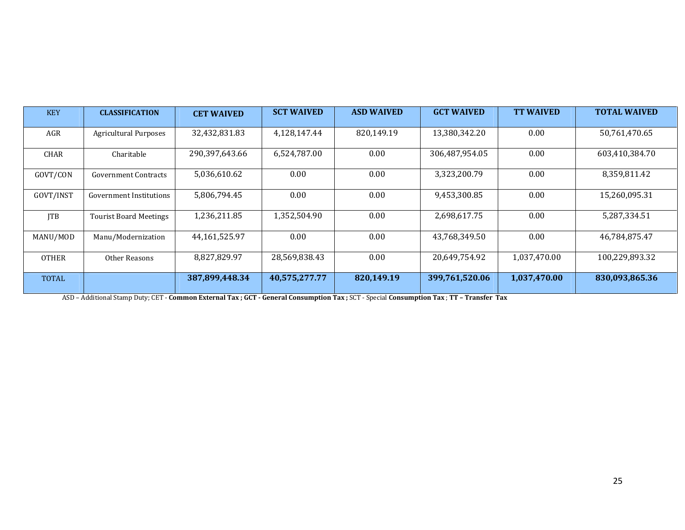| <b>KEY</b>   | <b>CLASSIFICATION</b>         | <b>CET WAIVED</b> | <b>SCT WAIVED</b> | <b>ASD WAIVED</b> | <b>GCT WAIVED</b> | <b>TT WAIVED</b> | <b>TOTAL WAIVED</b> |
|--------------|-------------------------------|-------------------|-------------------|-------------------|-------------------|------------------|---------------------|
| AGR          | <b>Agricultural Purposes</b>  | 32,432,831.83     | 4.128.147.44      | 820.149.19        | 13,380,342.20     | 0.00             | 50.761.470.65       |
| <b>CHAR</b>  | Charitable                    | 290,397,643.66    | 6,524,787.00      | 0.00              | 306,487,954.05    | 0.00             | 603,410,384.70      |
| GOVT/CON     | <b>Government Contracts</b>   | 5,036,610.62      | 0.00              | 0.00              | 3,323,200.79      | 0.00             | 8,359,811.42        |
| GOVT/INST    | Government Institutions       | 5,806,794.45      | 0.00              | 0.00              | 9,453,300.85      | 0.00             | 15,260,095.31       |
| <b>ITB</b>   | <b>Tourist Board Meetings</b> | 1,236,211.85      | 1,352,504.90      | 0.00              | 2,698,617.75      | 0.00             | 5,287,334.51        |
| MANU/MOD     | Manu/Modernization            | 44,161,525.97     | 0.00              | 0.00              | 43,768,349.50     | 0.00             | 46,784,875.47       |
| <b>OTHER</b> | Other Reasons                 | 8,827,829.97      | 28,569,838.43     | 0.00              | 20,649,754.92     | 1,037,470.00     | 100,229,893.32      |
| <b>TOTAL</b> |                               | 387,899,448.34    | 40,575,277.77     | 820,149.19        | 399,761,520.06    | 1,037,470.00     | 830,093,865.36      |

ASD – Additional Stamp Duty; CET - **Common External Tax ; GCT - General Consumption Tax ; S**CT - Special **Consumption Tax ; TT – Transfer Tax**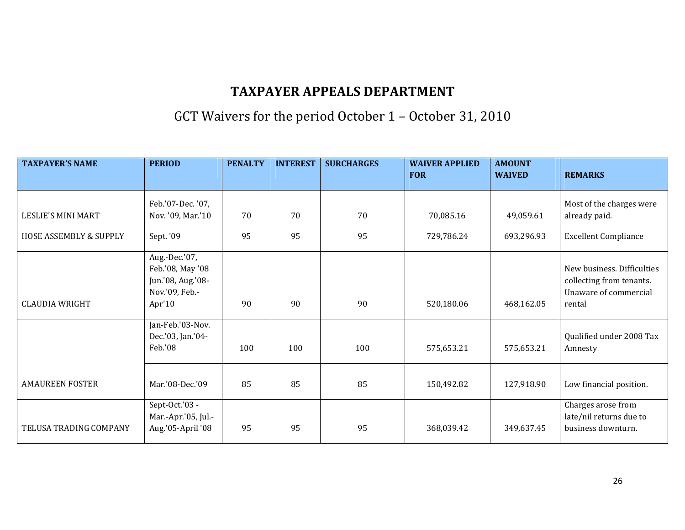## GCT Waivers for the period October 1 – October 31, 2010

| <b>TAXPAYER'S NAME</b> | <b>PERIOD</b>                                                                         | <b>PENALTY</b> | <b>INTEREST</b> | <b>SURCHARGES</b> | <b>WAIVER APPLIED</b><br><b>FOR</b> | <b>AMOUNT</b><br><b>WAIVED</b> | <b>REMARKS</b>                                                                            |
|------------------------|---------------------------------------------------------------------------------------|----------------|-----------------|-------------------|-------------------------------------|--------------------------------|-------------------------------------------------------------------------------------------|
|                        |                                                                                       |                |                 |                   |                                     |                                |                                                                                           |
| LESLIE'S MINI MART     | Feb.'07-Dec.'07,<br>Nov. '09, Mar.'10                                                 | 70             | 70              | 70                | 70,085.16                           | 49,059.61                      | Most of the charges were<br>already paid.                                                 |
| HOSE ASSEMBLY & SUPPLY | Sept. '09                                                                             | 95             | 95              | 95                | 729,786.24                          | 693,296.93                     | <b>Excellent Compliance</b>                                                               |
| <b>CLAUDIA WRIGHT</b>  | Aug.-Dec.'07,<br>Feb.'08, May '08<br>Jun.'08, Aug.'08-<br>Nov.'09, Feb.-<br>Apr' $10$ | 90             | 90              | 90                | 520,180.06                          | 468,162.05                     | New business. Difficulties<br>collecting from tenants.<br>Unaware of commercial<br>rental |
|                        | Jan-Feb.'03-Nov.<br>Dec.'03, Jan.'04-<br>Feb.'08                                      | 100            | 100             | 100               | 575,653.21                          | 575,653.21                     | Qualified under 2008 Tax<br>Amnesty                                                       |
| <b>AMAUREEN FOSTER</b> | Mar.'08-Dec.'09                                                                       | 85             | 85              | 85                | 150,492.82                          | 127,918.90                     | Low financial position.                                                                   |
| TELUSA TRADING COMPANY | Sept-Oct.'03 -<br>Mar.-Apr.'05, Jul.-<br>Aug.'05-April '08                            | 95             | 95              | 95                | 368,039.42                          | 349,637.45                     | Charges arose from<br>late/nil returns due to<br>business downturn.                       |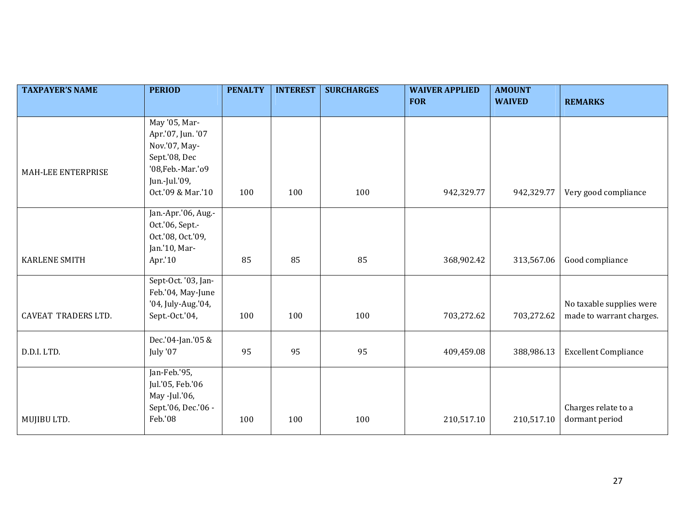| <b>TAXPAYER'S NAME</b>     | <b>PERIOD</b>                                                       | <b>PENALTY</b> | <b>INTEREST</b> | <b>SURCHARGES</b> | <b>WAIVER APPLIED</b> | <b>AMOUNT</b> |                                       |
|----------------------------|---------------------------------------------------------------------|----------------|-----------------|-------------------|-----------------------|---------------|---------------------------------------|
|                            |                                                                     |                |                 |                   | <b>FOR</b>            | <b>WAIVED</b> | <b>REMARKS</b>                        |
|                            | May '05, Mar-                                                       |                |                 |                   |                       |               |                                       |
|                            | Apr.'07, Jun. '07                                                   |                |                 |                   |                       |               |                                       |
|                            | Nov.'07, May-                                                       |                |                 |                   |                       |               |                                       |
|                            | Sept.'08, Dec                                                       |                |                 |                   |                       |               |                                       |
| MAH-LEE ENTERPRISE         | '08, Feb. - Mar. '09                                                |                |                 |                   |                       |               |                                       |
|                            | Jun.-Jul.'09,                                                       |                |                 |                   |                       |               |                                       |
|                            | Oct.'09 & Mar.'10                                                   | 100            | 100             | 100               | 942,329.77            | 942,329.77    | Very good compliance                  |
|                            |                                                                     |                |                 |                   |                       |               |                                       |
|                            | Jan.-Apr.'06, Aug.-                                                 |                |                 |                   |                       |               |                                       |
|                            | Oct.'06, Sept.-                                                     |                |                 |                   |                       |               |                                       |
|                            | Oct.'08, Oct.'09,                                                   |                |                 |                   |                       |               |                                       |
|                            | Jan.'10, Mar-                                                       |                |                 |                   |                       |               |                                       |
| <b>KARLENE SMITH</b>       | Apr.'10                                                             | 85             | 85              | 85                | 368,902.42            | 313,567.06    | Good compliance                       |
|                            | Sept-Oct. '03, Jan-                                                 |                |                 |                   |                       |               |                                       |
|                            | Feb.'04, May-June                                                   |                |                 |                   |                       |               |                                       |
|                            | '04, July-Aug.'04,                                                  |                |                 |                   |                       |               | No taxable supplies were              |
| <b>CAVEAT TRADERS LTD.</b> | Sept.-Oct.'04,                                                      | 100            | 100             | 100               | 703,272.62            | 703,272.62    | made to warrant charges.              |
|                            |                                                                     |                |                 |                   |                       |               |                                       |
|                            | Dec.'04-Jan.'05 &                                                   |                |                 |                   |                       |               |                                       |
| D.D.I. LTD.                | July '07                                                            | 95             | 95              | 95                | 409,459.08            | 388,986.13    | <b>Excellent Compliance</b>           |
|                            |                                                                     |                |                 |                   |                       |               |                                       |
|                            | Jan-Feb.'95,                                                        |                |                 |                   |                       |               |                                       |
|                            |                                                                     |                |                 |                   |                       |               |                                       |
|                            |                                                                     |                |                 |                   |                       |               |                                       |
|                            |                                                                     |                |                 |                   |                       |               |                                       |
|                            |                                                                     |                |                 |                   |                       |               |                                       |
| MUJIBU LTD.                | Jul.'05, Feb.'06<br>May -Jul.'06,<br>Sept.'06, Dec.'06 -<br>Feb.'08 | 100            | 100             | 100               | 210,517.10            | 210,517.10    | Charges relate to a<br>dormant period |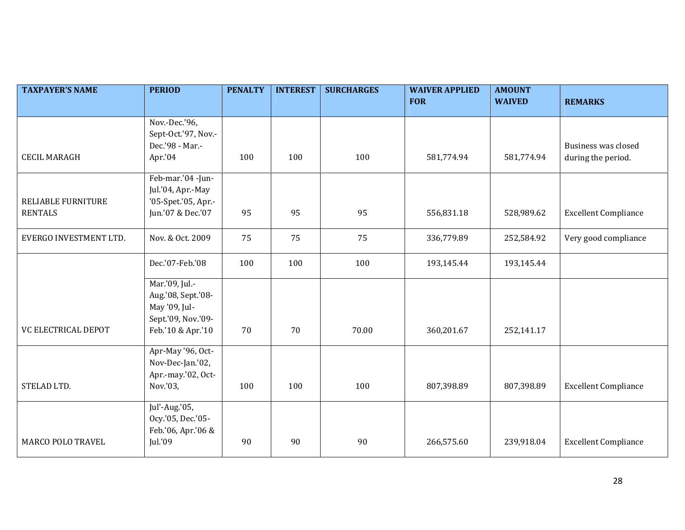| <b>TAXPAYER'S NAME</b>    | <b>PERIOD</b>                                                               | <b>PENALTY</b> | <b>INTEREST</b> | <b>SURCHARGES</b> | <b>WAIVER APPLIED</b> | <b>AMOUNT</b> |                             |
|---------------------------|-----------------------------------------------------------------------------|----------------|-----------------|-------------------|-----------------------|---------------|-----------------------------|
|                           |                                                                             |                |                 |                   | <b>FOR</b>            | <b>WAIVED</b> | <b>REMARKS</b>              |
|                           | Nov.-Dec.'96,<br>Sept-Oct.'97, Nov.-<br>Dec.'98 - Mar.-                     |                |                 |                   |                       |               | Business was closed         |
| <b>CECIL MARAGH</b>       | Apr.'04                                                                     | 100            | 100             | 100               | 581,774.94            | 581,774.94    | during the period.          |
| <b>RELIABLE FURNITURE</b> | Feb-mar.'04 -Jun-<br>Jul.'04, Apr.-May<br>'05-Spet.'05, Apr.-               |                |                 |                   |                       |               |                             |
| <b>RENTALS</b>            | Jun.'07 & Dec.'07                                                           | 95             | 95              | 95                | 556,831.18            | 528,989.62    | <b>Excellent Compliance</b> |
| EVERGO INVESTMENT LTD.    | Nov. & Oct. 2009                                                            | 75             | 75              | 75                | 336,779.89            | 252,584.92    | Very good compliance        |
|                           | Dec.'07-Feb.'08                                                             | 100            | 100             | 100               | 193,145.44            | 193,145.44    |                             |
|                           | Mar.'09, Jul.-<br>Aug.'08, Sept.'08-<br>May '09, Jul-<br>Sept.'09, Nov.'09- |                |                 |                   |                       |               |                             |
| VC ELECTRICAL DEPOT       | Feb.'10 & Apr.'10                                                           | 70             | 70              | 70.00             | 360,201.67            | 252,141.17    |                             |
|                           | Apr-May '96, Oct-<br>Nov-Dec-Jan.'02,<br>Apr.-may.'02, Oct-                 |                |                 |                   |                       |               |                             |
| STELAD LTD.               | Nov.'03,                                                                    | 100            | 100             | 100               | 807,398.89            | 807,398.89    | <b>Excellent Compliance</b> |
|                           | Jul'-Aug.'05,<br>Ocy.'05, Dec.'05-<br>Feb.'06, Apr.'06 &                    |                |                 |                   |                       |               |                             |
| <b>MARCO POLO TRAVEL</b>  | Jul.'09                                                                     | 90             | 90              | 90                | 266,575.60            | 239,918.04    | <b>Excellent Compliance</b> |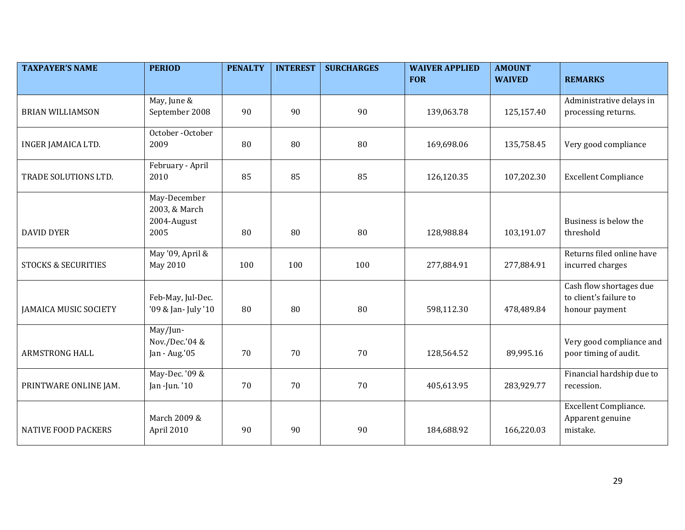| <b>TAXPAYER'S NAME</b>         | <b>PERIOD</b>            | <b>PENALTY</b> | <b>INTEREST</b> | <b>SURCHARGES</b> | <b>WAIVER APPLIED</b><br><b>FOR</b> | <b>AMOUNT</b><br><b>WAIVED</b> | <b>REMARKS</b>                     |
|--------------------------------|--------------------------|----------------|-----------------|-------------------|-------------------------------------|--------------------------------|------------------------------------|
|                                |                          |                |                 |                   |                                     |                                |                                    |
|                                | May, June &              |                |                 |                   |                                     |                                | Administrative delays in           |
| <b>BRIAN WILLIAMSON</b>        | September 2008           | 90             | 90              | 90                | 139,063.78                          | 125,157.40                     | processing returns.                |
| INGER JAMAICA LTD.             | October-October<br>2009  | 80             | 80              | 80                | 169,698.06                          | 135,758.45                     | Very good compliance               |
|                                |                          |                |                 |                   |                                     |                                |                                    |
| TRADE SOLUTIONS LTD.           | February - April<br>2010 | 85             | 85              | 85                |                                     |                                |                                    |
|                                |                          |                |                 |                   | 126,120.35                          | 107,202.30                     | <b>Excellent Compliance</b>        |
|                                | May-December             |                |                 |                   |                                     |                                |                                    |
|                                | 2003, & March            |                |                 |                   |                                     |                                |                                    |
| <b>DAVID DYER</b>              | 2004-August<br>2005      | 80             | 80              | 80                | 128,988.84                          | 103,191.07                     | Business is below the<br>threshold |
|                                |                          |                |                 |                   |                                     |                                |                                    |
|                                | May '09, April &         |                |                 |                   |                                     |                                | Returns filed online have          |
| <b>STOCKS &amp; SECURITIES</b> | May 2010                 | 100            | 100             | 100               | 277,884.91                          | 277,884.91                     | incurred charges                   |
|                                |                          |                |                 |                   |                                     |                                | Cash flow shortages due            |
|                                | Feb-May, Jul-Dec.        |                |                 |                   |                                     |                                | to client's failure to             |
| <b>JAMAICA MUSIC SOCIETY</b>   | '09 & Jan- July '10      | 80             | 80              | 80                | 598,112.30                          | 478,489.84                     | honour payment                     |
|                                | May/Jun-                 |                |                 |                   |                                     |                                |                                    |
|                                | Nov./Dec.'04 &           |                |                 |                   |                                     |                                | Very good compliance and           |
| ARMSTRONG HALL                 | Jan - Aug.'05            | 70             | 70              | 70                | 128,564.52                          | 89,995.16                      | poor timing of audit.              |
|                                | May-Dec. '09 &           |                |                 |                   |                                     |                                | Financial hardship due to          |
| PRINTWARE ONLINE JAM.          | Jan -Jun. '10            | 70             | 70              | 70                | 405,613.95                          | 283,929.77                     | recession.                         |
|                                |                          |                |                 |                   |                                     |                                | <b>Excellent Compliance.</b>       |
|                                | March 2009 &             |                |                 |                   |                                     |                                | Apparent genuine                   |
| <b>NATIVE FOOD PACKERS</b>     | April 2010               | 90             | 90              | 90                | 184,688.92                          | 166,220.03                     | mistake.                           |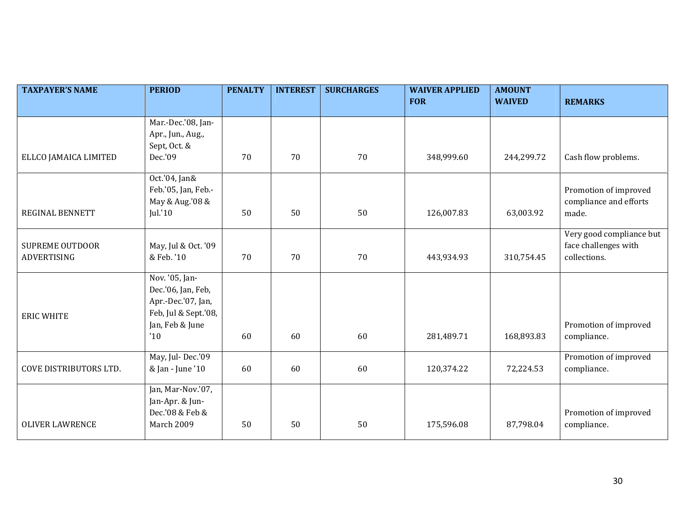| <b>TAXPAYER'S NAME</b> | <b>PERIOD</b>        | <b>PENALTY</b> | <b>INTEREST</b> | <b>SURCHARGES</b> | <b>WAIVER APPLIED</b> | <b>AMOUNT</b> |                          |
|------------------------|----------------------|----------------|-----------------|-------------------|-----------------------|---------------|--------------------------|
|                        |                      |                |                 |                   | <b>FOR</b>            | <b>WAIVED</b> | <b>REMARKS</b>           |
|                        | Mar.-Dec.'08, Jan-   |                |                 |                   |                       |               |                          |
|                        | Apr., Jun., Aug.,    |                |                 |                   |                       |               |                          |
|                        | Sept, Oct. &         |                |                 |                   |                       |               |                          |
| ELLCO JAMAICA LIMITED  | Dec.'09              | 70             | 70              | 70                | 348,999.60            | 244,299.72    | Cash flow problems.      |
|                        |                      |                |                 |                   |                       |               |                          |
|                        | Oct.'04, Jan&        |                |                 |                   |                       |               |                          |
|                        | Feb.'05, Jan, Feb.-  |                |                 |                   |                       |               | Promotion of improved    |
|                        | May & Aug.'08 &      |                |                 |                   |                       |               | compliance and efforts   |
| REGINAL BENNETT        | Jul.'10              | 50             | 50              | 50                | 126,007.83            | 63,003.92     | made.                    |
|                        |                      |                |                 |                   |                       |               |                          |
|                        |                      |                |                 |                   |                       |               | Very good compliance but |
| <b>SUPREME OUTDOOR</b> | May, Jul & Oct. '09  |                |                 |                   |                       |               | face challenges with     |
| ADVERTISING            | & Feb. '10           | 70             | 70              | 70                | 443,934.93            | 310,754.45    | collections.             |
|                        |                      |                |                 |                   |                       |               |                          |
|                        | Nov. '05, Jan-       |                |                 |                   |                       |               |                          |
|                        | Dec.'06, Jan, Feb,   |                |                 |                   |                       |               |                          |
|                        | Apr.-Dec.'07, Jan,   |                |                 |                   |                       |               |                          |
| <b>ERIC WHITE</b>      | Feb, Jul & Sept.'08, |                |                 |                   |                       |               |                          |
|                        | Jan, Feb & June      |                |                 |                   |                       |               | Promotion of improved    |
|                        | '10                  | 60             | 60              | 60                | 281,489.71            | 168,893.83    | compliance.              |
|                        | May, Jul-Dec.'09     |                |                 |                   |                       |               | Promotion of improved    |
| COVE DISTRIBUTORS LTD. | & Jan - June '10     | 60             | 60              | 60                | 120,374.22            | 72,224.53     | compliance.              |
|                        |                      |                |                 |                   |                       |               |                          |
|                        | Jan, Mar-Nov.'07,    |                |                 |                   |                       |               |                          |
|                        | Jan-Apr. & Jun-      |                |                 |                   |                       |               |                          |
|                        | Dec.'08 & Feb &      |                |                 |                   |                       |               | Promotion of improved    |
| <b>OLIVER LAWRENCE</b> | March 2009           | 50             | 50              | 50                | 175,596.08            | 87,798.04     | compliance.              |
|                        |                      |                |                 |                   |                       |               |                          |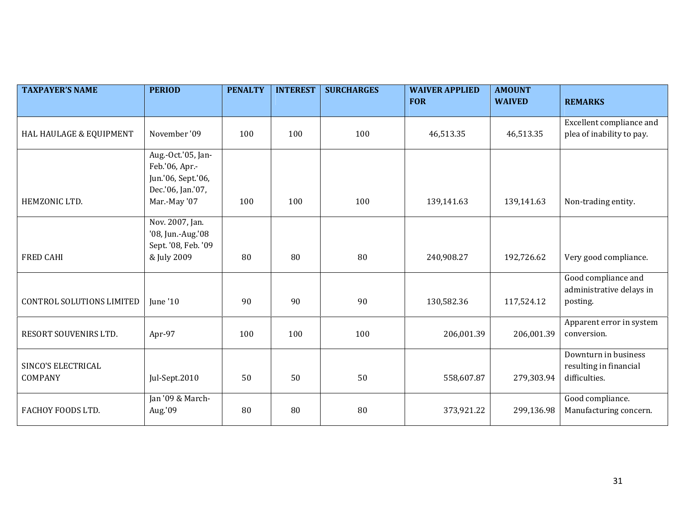| <b>TAXPAYER'S NAME</b>           | <b>PERIOD</b>                           | <b>PENALTY</b> | <b>INTEREST</b> | <b>SURCHARGES</b> | <b>WAIVER APPLIED</b> | <b>AMOUNT</b> |                           |
|----------------------------------|-----------------------------------------|----------------|-----------------|-------------------|-----------------------|---------------|---------------------------|
|                                  |                                         |                |                 |                   | <b>FOR</b>            | <b>WAIVED</b> | <b>REMARKS</b>            |
|                                  |                                         |                |                 |                   |                       |               | Excellent compliance and  |
| HAL HAULAGE & EQUIPMENT          | November '09                            | 100            | 100             | 100               | 46,513.35             | 46,513.35     | plea of inability to pay. |
|                                  | Aug.-Oct.'05, Jan-                      |                |                 |                   |                       |               |                           |
|                                  | Feb.'06, Apr.-                          |                |                 |                   |                       |               |                           |
|                                  | Jun.'06, Sept.'06,<br>Dec.'06, Jan.'07, |                |                 |                   |                       |               |                           |
| HEMZONIC LTD.                    | Mar.-May '07                            | 100            | 100             | 100               | 139,141.63            | 139,141.63    | Non-trading entity.       |
|                                  |                                         |                |                 |                   |                       |               |                           |
|                                  | Nov. 2007, Jan.                         |                |                 |                   |                       |               |                           |
|                                  | '08, Jun.-Aug.'08                       |                |                 |                   |                       |               |                           |
|                                  | Sept. '08, Feb. '09                     |                |                 |                   |                       |               |                           |
| <b>FRED CAHI</b>                 | & July 2009                             | 80             | 80              | 80                | 240,908.27            | 192,726.62    | Very good compliance.     |
|                                  |                                         |                |                 |                   |                       |               | Good compliance and       |
|                                  |                                         |                |                 |                   |                       |               | administrative delays in  |
| <b>CONTROL SOLUTIONS LIMITED</b> | June '10                                | 90             | 90              | 90                | 130,582.36            | 117,524.12    | posting.                  |
|                                  |                                         |                |                 |                   |                       |               | Apparent error in system  |
| RESORT SOUVENIRS LTD.            | Apr-97                                  | 100            | 100             | 100               | 206,001.39            | 206,001.39    | conversion.               |
|                                  |                                         |                |                 |                   |                       |               | Downturn in business      |
| SINCO'S ELECTRICAL               |                                         |                |                 |                   |                       |               | resulting in financial    |
| COMPANY                          | Jul-Sept.2010                           | 50             | 50              | 50                | 558,607.87            | 279,303.94    | difficulties.             |
|                                  | Jan '09 & March-                        |                |                 |                   |                       |               | Good compliance.          |
| FACHOY FOODS LTD.                | Aug.'09                                 | 80             | 80              | 80                | 373,921.22            | 299,136.98    | Manufacturing concern.    |
|                                  |                                         |                |                 |                   |                       |               |                           |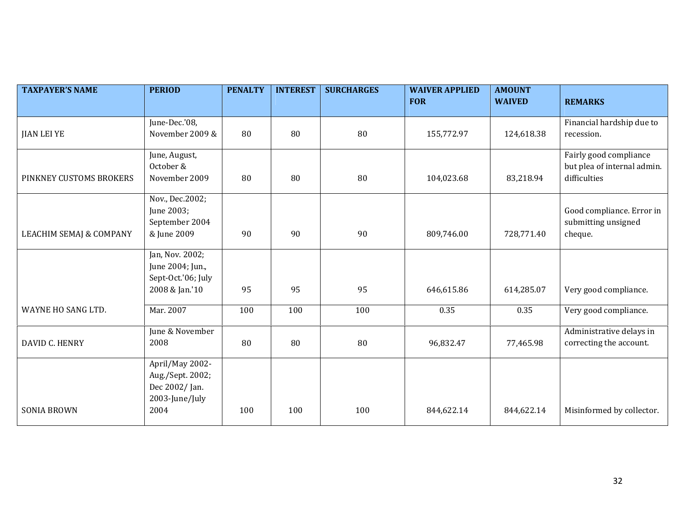| <b>TAXPAYER'S NAME</b>             | <b>PERIOD</b>          | <b>PENALTY</b> | <b>INTEREST</b> | <b>SURCHARGES</b> | <b>WAIVER APPLIED</b> | <b>AMOUNT</b> |                             |
|------------------------------------|------------------------|----------------|-----------------|-------------------|-----------------------|---------------|-----------------------------|
|                                    |                        |                |                 |                   | <b>FOR</b>            | <b>WAIVED</b> | <b>REMARKS</b>              |
|                                    | June-Dec.'08,          |                |                 |                   |                       |               | Financial hardship due to   |
| <b>JIAN LEI YE</b>                 | November 2009 &        | 80             | 80              | 80                | 155,772.97            | 124,618.38    | recession.                  |
|                                    |                        |                |                 |                   |                       |               |                             |
|                                    | June, August,          |                |                 |                   |                       |               | Fairly good compliance      |
|                                    | October &              |                |                 |                   |                       |               | but plea of internal admin. |
| PINKNEY CUSTOMS BROKERS            | November 2009          | 80             | 80              | 80                | 104,023.68            | 83,218.94     | difficulties                |
|                                    | Nov., Dec.2002;        |                |                 |                   |                       |               |                             |
|                                    | June 2003;             |                |                 |                   |                       |               | Good compliance. Error in   |
|                                    | September 2004         |                | 90              | 90                |                       |               | submitting unsigned         |
| <b>LEACHIM SEMAJ &amp; COMPANY</b> | & June 2009            | 90             |                 |                   | 809,746.00            | 728,771.40    | cheque.                     |
|                                    | Jan, Nov. 2002;        |                |                 |                   |                       |               |                             |
|                                    | June 2004; Jun.,       |                |                 |                   |                       |               |                             |
|                                    | Sept-Oct.'06; July     |                |                 |                   |                       |               |                             |
|                                    | 2008 & Jan.'10         | 95             | 95              | 95                | 646,615.86            | 614,285.07    | Very good compliance.       |
| WAYNE HO SANG LTD.                 | Mar. 2007              | 100            | 100             | 100               | 0.35                  | 0.35          | Very good compliance.       |
|                                    | June & November        |                |                 |                   |                       |               | Administrative delays in    |
| DAVID C. HENRY                     | 2008                   | 80             | 80              | 80                | 96,832.47             | 77,465.98     | correcting the account.     |
|                                    | April/May 2002-        |                |                 |                   |                       |               |                             |
|                                    | Aug./Sept. 2002;       |                |                 |                   |                       |               |                             |
|                                    | Dec 2002/Jan.          |                |                 |                   |                       |               |                             |
| <b>SONIA BROWN</b>                 | 2003-June/July<br>2004 | 100            | 100             | 100               | 844,622.14            | 844,622.14    | Misinformed by collector.   |
|                                    |                        |                |                 |                   |                       |               |                             |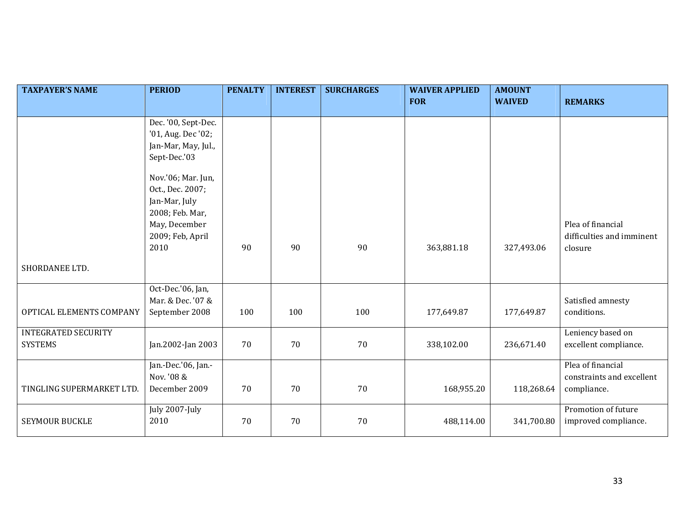| <b>TAXPAYER'S NAME</b>     | <b>PERIOD</b>       | <b>PENALTY</b> | <b>INTEREST</b> | <b>SURCHARGES</b> | <b>WAIVER APPLIED</b> | <b>AMOUNT</b> |                           |
|----------------------------|---------------------|----------------|-----------------|-------------------|-----------------------|---------------|---------------------------|
|                            |                     |                |                 |                   | <b>FOR</b>            | <b>WAIVED</b> | <b>REMARKS</b>            |
|                            | Dec. '00, Sept-Dec. |                |                 |                   |                       |               |                           |
|                            | '01, Aug. Dec '02;  |                |                 |                   |                       |               |                           |
|                            | Jan-Mar, May, Jul., |                |                 |                   |                       |               |                           |
|                            | Sept-Dec.'03        |                |                 |                   |                       |               |                           |
|                            | Nov.'06; Mar. Jun,  |                |                 |                   |                       |               |                           |
|                            | Oct., Dec. 2007;    |                |                 |                   |                       |               |                           |
|                            | Jan-Mar, July       |                |                 |                   |                       |               |                           |
|                            | 2008; Feb. Mar,     |                |                 |                   |                       |               |                           |
|                            | May, December       |                |                 |                   |                       |               | Plea of financial         |
|                            | 2009; Feb, April    |                |                 |                   |                       |               | difficulties and imminent |
|                            | 2010                | 90             | 90              | 90                | 363,881.18            | 327,493.06    | closure                   |
| SHORDANEE LTD.             |                     |                |                 |                   |                       |               |                           |
|                            | Oct-Dec.'06, Jan,   |                |                 |                   |                       |               |                           |
|                            | Mar. & Dec. '07 &   |                |                 |                   |                       |               | Satisfied amnesty         |
| OPTICAL ELEMENTS COMPANY   | September 2008      | 100            | 100             | 100               | 177,649.87            | 177,649.87    | conditions.               |
| <b>INTEGRATED SECURITY</b> |                     |                |                 |                   |                       |               | Leniency based on         |
| <b>SYSTEMS</b>             | Jan.2002-Jan 2003   | 70             | 70              | 70                | 338,102.00            | 236,671.40    | excellent compliance.     |
|                            | Jan.-Dec.'06, Jan.- |                |                 |                   |                       |               | Plea of financial         |
|                            | Nov. '08 &          |                |                 |                   |                       |               | constraints and excellent |
| TINGLING SUPERMARKET LTD.  | December 2009       | 70             | 70              | $70\,$            | 168,955.20            | 118,268.64    | compliance.               |
|                            | July 2007-July      |                |                 |                   |                       |               | Promotion of future       |
| <b>SEYMOUR BUCKLE</b>      | 2010                | 70             | 70              | 70                | 488,114.00            | 341,700.80    | improved compliance.      |
|                            |                     |                |                 |                   |                       |               |                           |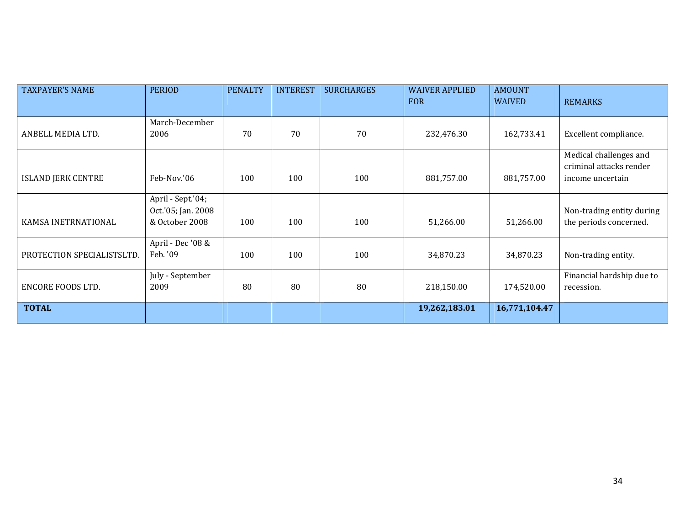| <b>TAXPAYER'S NAME</b>     | <b>PERIOD</b>                                             | <b>PENALTY</b> | <b>INTEREST</b> | <b>SURCHARGES</b> | <b>WAIVER APPLIED</b><br><b>FOR</b> | <b>AMOUNT</b><br><b>WAIVED</b> | <b>REMARKS</b>                                                        |
|----------------------------|-----------------------------------------------------------|----------------|-----------------|-------------------|-------------------------------------|--------------------------------|-----------------------------------------------------------------------|
| ANBELL MEDIA LTD.          | March-December<br>2006                                    | 70             | 70              | 70                | 232,476.30                          | 162,733.41                     | Excellent compliance.                                                 |
| <b>ISLAND JERK CENTRE</b>  | Feb-Nov.'06                                               | 100            | 100             | 100               | 881,757.00                          | 881,757.00                     | Medical challenges and<br>criminal attacks render<br>income uncertain |
| KAMSA INETRNATIONAL        | April - Sept.'04;<br>Oct.'05; Jan. 2008<br>& October 2008 | 100            | 100             | 100               | 51,266.00                           | 51,266.00                      | Non-trading entity during<br>the periods concerned.                   |
| PROTECTION SPECIALISTSLTD. | April - Dec '08 &<br>Feb. '09                             | 100            | 100             | 100               | 34,870.23                           | 34,870.23                      | Non-trading entity.                                                   |
| ENCORE FOODS LTD.          | July - September<br>2009                                  | 80             | 80              | 80                | 218,150.00                          | 174,520.00                     | Financial hardship due to<br>recession.                               |
| <b>TOTAL</b>               |                                                           |                |                 |                   | 19,262,183.01                       | 16,771,104.47                  |                                                                       |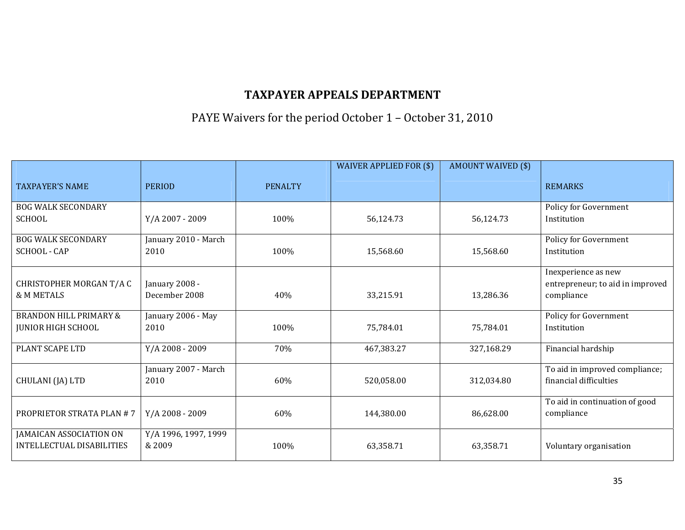## PAYE Waivers for the period October 1 – October 31, 2010

|                                                                |                                 |                | WAIVER APPLIED FOR (\$) | <b>AMOUNT WAIVED (\$)</b> |                                                                       |
|----------------------------------------------------------------|---------------------------------|----------------|-------------------------|---------------------------|-----------------------------------------------------------------------|
| <b>TAXPAYER'S NAME</b>                                         | <b>PERIOD</b>                   | <b>PENALTY</b> |                         |                           | <b>REMARKS</b>                                                        |
| <b>BOG WALK SECONDARY</b><br><b>SCHOOL</b>                     | Y/A 2007 - 2009                 | 100%           | 56,124.73               | 56,124.73                 | Policy for Government<br>Institution                                  |
| <b>BOG WALK SECONDARY</b><br>SCHOOL - CAP                      | January 2010 - March<br>2010    | 100%           | 15,568.60               | 15,568.60                 | Policy for Government<br>Institution                                  |
| CHRISTOPHER MORGAN T/A C<br>& M METALS                         | January 2008 -<br>December 2008 | 40%            | 33,215.91               | 13,286.36                 | Inexperience as new<br>entrepreneur; to aid in improved<br>compliance |
| <b>BRANDON HILL PRIMARY &amp;</b><br><b>JUNIOR HIGH SCHOOL</b> | January 2006 - May<br>2010      | 100%           | 75,784.01               | 75,784.01                 | Policy for Government<br>Institution                                  |
| PLANT SCAPE LTD                                                | Y/A 2008 - 2009                 | 70%            | 467,383.27              | 327,168.29                | Financial hardship                                                    |
| CHULANI (JA) LTD                                               | January 2007 - March<br>2010    | 60%            | 520,058.00              | 312,034.80                | To aid in improved compliance;<br>financial difficulties              |
| <b>PROPRIETOR STRATA PLAN #7</b>                               | Y/A 2008 - 2009                 | 60%            | 144,380.00              | 86,628.00                 | To aid in continuation of good<br>compliance                          |
| JAMAICAN ASSOCIATION ON<br><b>INTELLECTUAL DISABILITIES</b>    | Y/A 1996, 1997, 1999<br>& 2009  | 100%           | 63,358.71               | 63,358.71                 | Voluntary organisation                                                |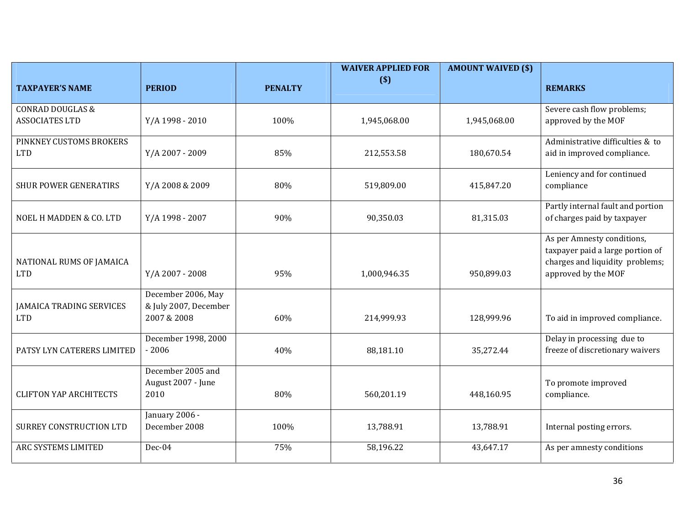|                                 |                       |                | <b>WAIVER APPLIED FOR</b> | <b>AMOUNT WAIVED (\$)</b> |                                                                     |
|---------------------------------|-----------------------|----------------|---------------------------|---------------------------|---------------------------------------------------------------------|
| <b>TAXPAYER'S NAME</b>          | <b>PERIOD</b>         | <b>PENALTY</b> | $($)$                     |                           | <b>REMARKS</b>                                                      |
| <b>CONRAD DOUGLAS &amp;</b>     |                       |                |                           |                           | Severe cash flow problems;                                          |
| <b>ASSOCIATES LTD</b>           | Y/A 1998 - 2010       | 100%           | 1,945,068.00              | 1,945,068.00              | approved by the MOF                                                 |
| PINKNEY CUSTOMS BROKERS         |                       |                |                           |                           | Administrative difficulties & to                                    |
| <b>LTD</b>                      | Y/A 2007 - 2009       | 85%            | 212,553.58                | 180,670.54                | aid in improved compliance.                                         |
|                                 |                       |                |                           |                           | Leniency and for continued                                          |
| <b>SHUR POWER GENERATIRS</b>    | Y/A 2008 & 2009       | 80%            | 519,809.00                | 415,847.20                | compliance                                                          |
|                                 |                       |                |                           |                           | Partly internal fault and portion                                   |
| NOEL H MADDEN & CO. LTD         | Y/A 1998 - 2007       | 90%            | 90,350.03                 | 81,315.03                 | of charges paid by taxpayer                                         |
|                                 |                       |                |                           |                           | As per Amnesty conditions,                                          |
| NATIONAL RUMS OF JAMAICA        |                       |                |                           |                           | taxpayer paid a large portion of<br>charges and liquidity problems; |
| <b>LTD</b>                      | Y/A 2007 - 2008       | 95%            | 1,000,946.35              | 950,899.03                | approved by the MOF                                                 |
|                                 | December 2006, May    |                |                           |                           |                                                                     |
| <b>JAMAICA TRADING SERVICES</b> | & July 2007, December |                |                           |                           |                                                                     |
| <b>LTD</b>                      | 2007 & 2008           | 60%            | 214,999.93                | 128,999.96                | To aid in improved compliance.                                      |
|                                 | December 1998, 2000   |                |                           |                           | Delay in processing due to                                          |
| PATSY LYN CATERERS LIMITED      | $-2006$               | 40%            | 88,181.10                 | 35,272.44                 | freeze of discretionary waivers                                     |
|                                 | December 2005 and     |                |                           |                           |                                                                     |
|                                 | August 2007 - June    | 80%            |                           |                           | To promote improved                                                 |
| <b>CLIFTON YAP ARCHITECTS</b>   | 2010                  |                | 560,201.19                | 448,160.95                | compliance.                                                         |
|                                 | January 2006 -        |                |                           |                           |                                                                     |
| <b>SURREY CONSTRUCTION LTD</b>  | December 2008         | 100%           | 13,788.91                 | 13,788.91                 | Internal posting errors.                                            |
| ARC SYSTEMS LIMITED             | Dec-04                | 75%            | 58,196.22                 | 43,647.17                 | As per amnesty conditions                                           |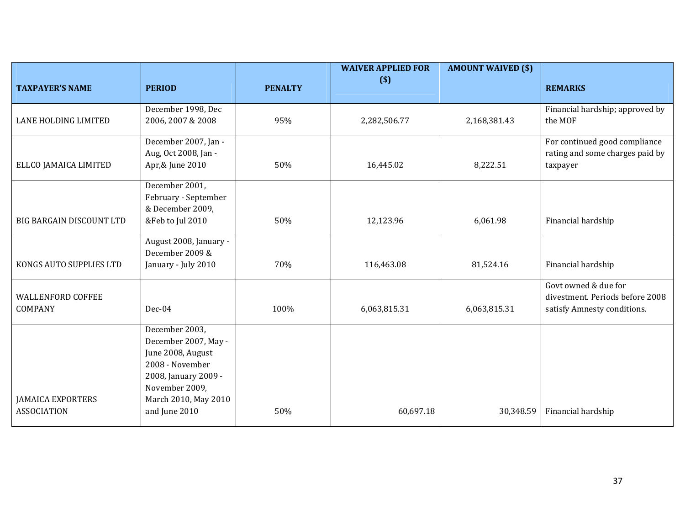|                                                |                                                                                                                                                                   |                | <b>WAIVER APPLIED FOR</b> | <b>AMOUNT WAIVED (\$)</b> |                                                                                        |
|------------------------------------------------|-------------------------------------------------------------------------------------------------------------------------------------------------------------------|----------------|---------------------------|---------------------------|----------------------------------------------------------------------------------------|
| <b>TAXPAYER'S NAME</b>                         | <b>PERIOD</b>                                                                                                                                                     | <b>PENALTY</b> | $($)$                     |                           | <b>REMARKS</b>                                                                         |
| LANE HOLDING LIMITED                           | December 1998, Dec<br>2006, 2007 & 2008                                                                                                                           | 95%            | 2,282,506.77              | 2,168,381.43              | Financial hardship; approved by<br>the MOF                                             |
| ELLCO JAMAICA LIMITED                          | December 2007, Jan -<br>Aug, Oct 2008, Jan -<br>Apr,& June 2010                                                                                                   | 50%            | 16,445.02                 | 8,222.51                  | For continued good compliance<br>rating and some charges paid by<br>taxpayer           |
| <b>BIG BARGAIN DISCOUNT LTD</b>                | December 2001,<br>February - September<br>& December 2009,<br>&Feb to Jul 2010                                                                                    | 50%            | 12,123.96                 | 6,061.98                  | Financial hardship                                                                     |
| KONGS AUTO SUPPLIES LTD                        | August 2008, January -<br>December 2009 &<br>January - July 2010                                                                                                  | 70%            | 116,463.08                | 81,524.16                 | Financial hardship                                                                     |
| <b>WALLENFORD COFFEE</b><br>COMPANY            | Dec-04                                                                                                                                                            | 100%           | 6,063,815.31              | 6,063,815.31              | Govt owned & due for<br>divestment. Periods before 2008<br>satisfy Amnesty conditions. |
| <b>JAMAICA EXPORTERS</b><br><b>ASSOCIATION</b> | December 2003,<br>December 2007, May -<br>June 2008, August<br>2008 - November<br>2008, January 2009 -<br>November 2009,<br>March 2010, May 2010<br>and June 2010 | 50%            | 60,697.18                 | 30,348.59                 | Financial hardship                                                                     |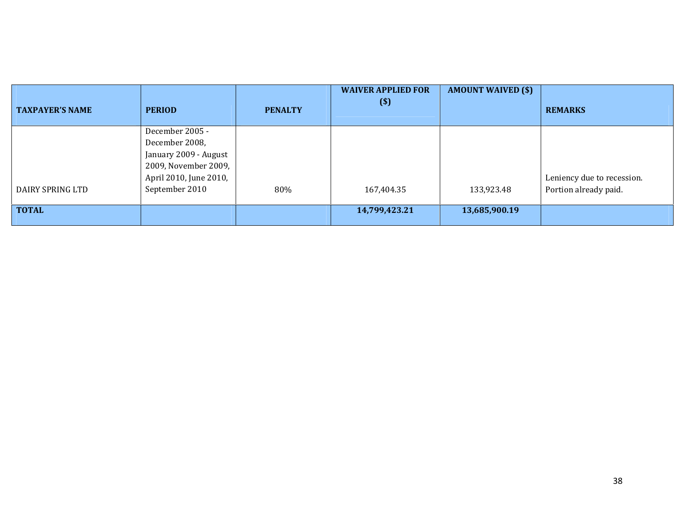| <b>TAXPAYER'S NAME</b> | <b>PERIOD</b>                                                                                                                  | <b>PENALTY</b> | <b>WAIVER APPLIED FOR</b><br>$($)$ | <b>AMOUNT WAIVED (\$)</b> | <b>REMARKS</b>                                      |
|------------------------|--------------------------------------------------------------------------------------------------------------------------------|----------------|------------------------------------|---------------------------|-----------------------------------------------------|
| DAIRY SPRING LTD       | December 2005 -<br>December 2008,<br>January 2009 - August<br>2009, November 2009,<br>April 2010, June 2010,<br>September 2010 | 80%            | 167,404.35                         | 133,923.48                | Leniency due to recession.<br>Portion already paid. |
| <b>TOTAL</b>           |                                                                                                                                |                | 14,799,423.21                      | 13,685,900.19             |                                                     |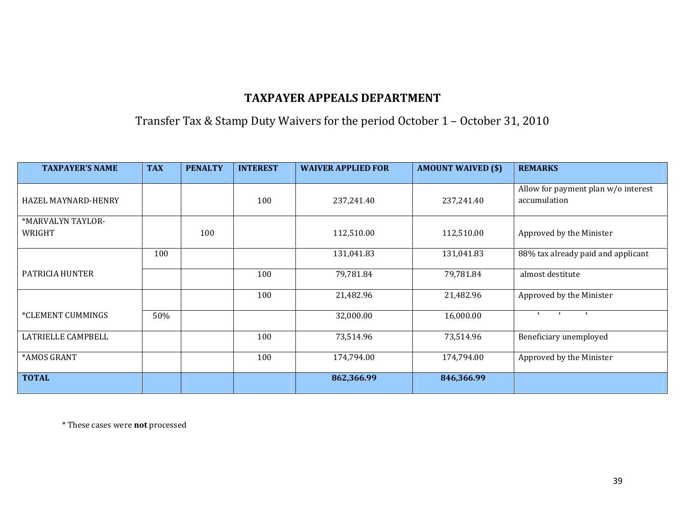Transfer Tax & Stamp Duty Waivers for the period October 1 – October 31, 2010

| <b>TAXPAYER'S NAME</b>      | <b>TAX</b> | <b>PENALTY</b> | <b>INTEREST</b> | <b>WAIVER APPLIED FOR</b> | <b>AMOUNT WAIVED (\$)</b> | <b>REMARKS</b>                                      |
|-----------------------------|------------|----------------|-----------------|---------------------------|---------------------------|-----------------------------------------------------|
| <b>HAZEL MAYNARD-HENRY</b>  |            |                | 100             | 237,241.40                | 237,241.40                | Allow for payment plan w/o interest<br>accumulation |
| *MARVALYN TAYLOR-<br>WRIGHT |            | 100            |                 | 112,510.00                | 112,510.00                | Approved by the Minister                            |
|                             | 100        |                |                 | 131,041.83                | 131,041.83                | 88% tax already paid and applicant                  |
| PATRICIA HUNTER             |            |                | 100             | 79,781.84                 | 79,781.84                 | almost destitute                                    |
|                             |            |                | 100             | 21,482.96                 | 21,482.96                 | Approved by the Minister                            |
| *CLEMENT CUMMINGS           | 50%        |                |                 | 32,000.00                 | 16,000.00                 | $\mathbf{r}$<br>$\mathbf{r}$<br>$\blacksquare$      |
| LATRIELLE CAMPBELL          |            |                | 100             | 73,514.96                 | 73,514.96                 | Beneficiary unemployed                              |
| *AMOS GRANT                 |            |                | 100             | 174,794.00                | 174,794.00                | Approved by the Minister                            |
| <b>TOTAL</b>                |            |                |                 | 862,366.99                | 846,366.99                |                                                     |

\* These cases were not processed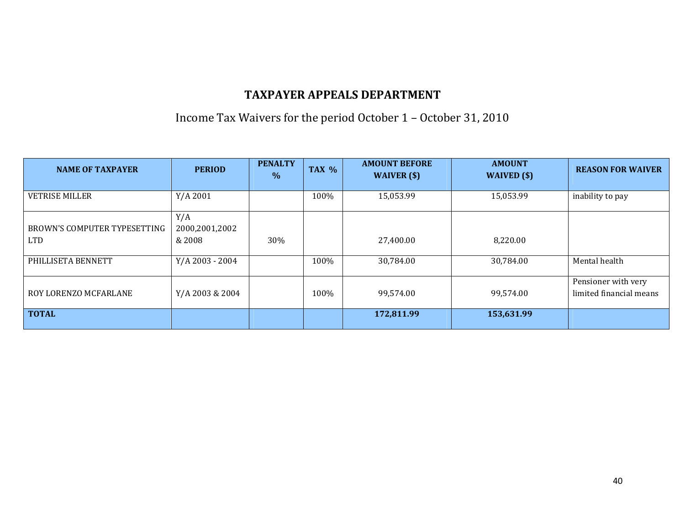Income Tax Waivers for the period October 1 – October 31, 2010

| <b>NAME OF TAXPAYER</b>      | <b>PERIOD</b>   | <b>PENALTY</b><br>$\%$ | TAX % | <b>AMOUNT BEFORE</b><br>WAIVER $(s)$ | <b>AMOUNT</b><br>WAIVED (\$) | <b>REASON FOR WAIVER</b> |
|------------------------------|-----------------|------------------------|-------|--------------------------------------|------------------------------|--------------------------|
| <b>VETRISE MILLER</b>        | $Y/A$ 2001      |                        | 100%  | 15,053.99                            | 15,053.99                    | inability to pay         |
|                              |                 |                        |       |                                      |                              |                          |
|                              | Y/A             |                        |       |                                      |                              |                          |
| BROWN'S COMPUTER TYPESETTING | 2000,2001,2002  |                        |       |                                      |                              |                          |
| <b>LTD</b>                   | & 2008          | 30%                    |       | 27.400.00                            | 8,220.00                     |                          |
|                              |                 |                        |       |                                      |                              |                          |
| PHILLISETA BENNETT           | Y/A 2003 - 2004 |                        | 100%  | 30,784.00                            | 30,784.00                    | Mental health            |
|                              |                 |                        |       |                                      |                              |                          |
|                              |                 |                        |       |                                      |                              | Pensioner with very      |
| ROY LORENZO MCFARLANE        | Y/A 2003 & 2004 |                        | 100%  | 99,574.00                            | 99,574.00                    | limited financial means  |
|                              |                 |                        |       |                                      |                              |                          |
| <b>TOTAL</b>                 |                 |                        |       | 172,811.99                           | 153,631.99                   |                          |
|                              |                 |                        |       |                                      |                              |                          |